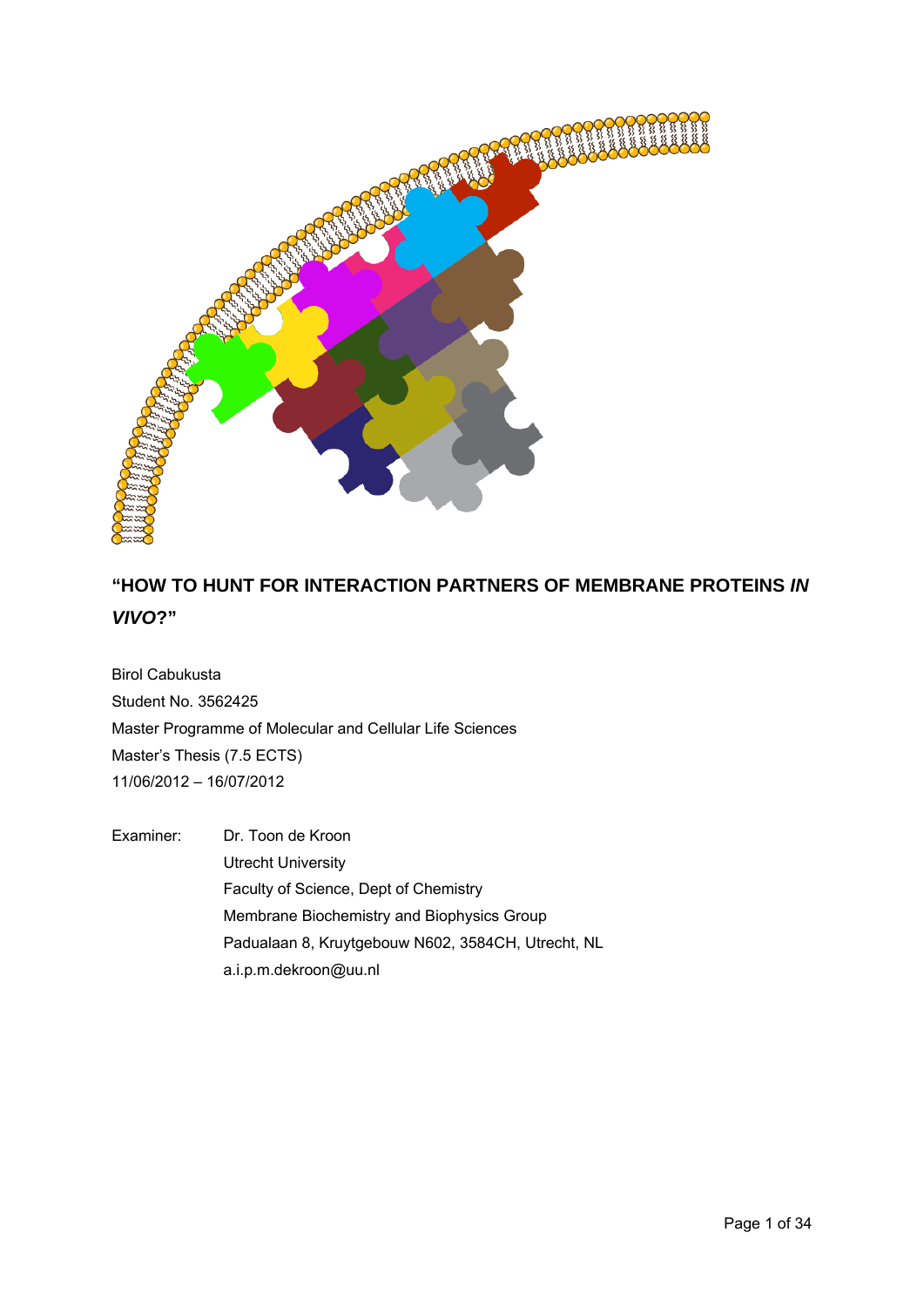

# **"HOW TO HUNT FOR INTERACTION PARTNERS OF MEMBRANE PROTEINS** *IN VIVO***?"**

Birol Cabukusta Student No. 3562425 Master Programme of Molecular and Cellular Life Sciences Master's Thesis (7.5 ECTS) 11/06/2012 – 16/07/2012

Examiner: Dr. Toon de Kroon Utrecht University Faculty of Science, Dept of Chemistry Membrane Biochemistry and Biophysics Group Padualaan 8, Kruytgebouw N602, 3584CH, Utrecht, NL a.i.p.m.dekroon@uu.nl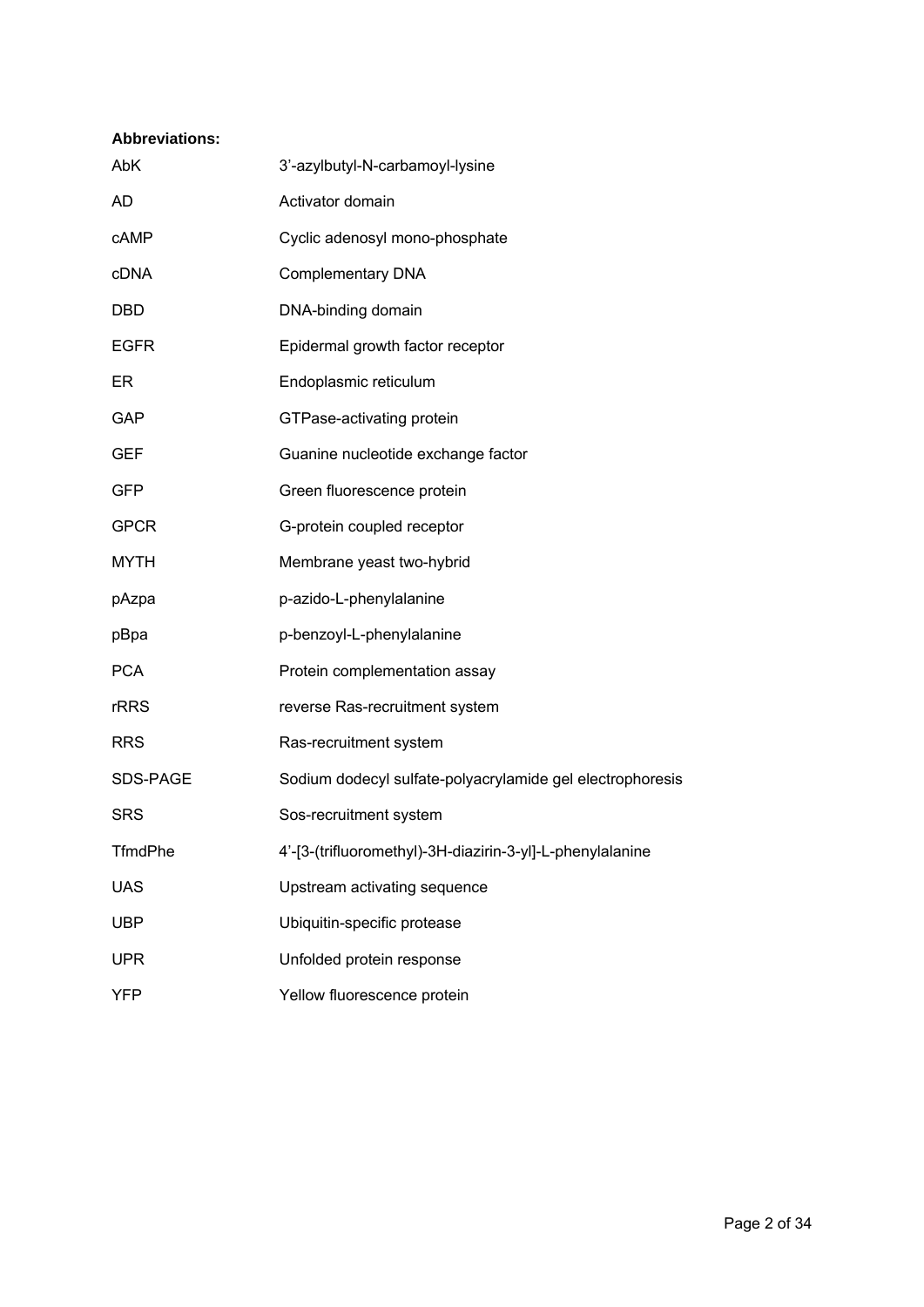# **Abbreviations:**

| AbK            | 3'-azylbutyl-N-carbamoyl-lysine                           |
|----------------|-----------------------------------------------------------|
| <b>AD</b>      | Activator domain                                          |
| cAMP           | Cyclic adenosyl mono-phosphate                            |
| cDNA           | Complementary DNA                                         |
| <b>DBD</b>     | DNA-binding domain                                        |
| <b>EGFR</b>    | Epidermal growth factor receptor                          |
| ER             | Endoplasmic reticulum                                     |
| GAP            | GTPase-activating protein                                 |
| <b>GEF</b>     | Guanine nucleotide exchange factor                        |
| <b>GFP</b>     | Green fluorescence protein                                |
| <b>GPCR</b>    | G-protein coupled receptor                                |
| <b>MYTH</b>    | Membrane yeast two-hybrid                                 |
| pAzpa          | p-azido-L-phenylalanine                                   |
| pBpa           | p-benzoyl-L-phenylalanine                                 |
| <b>PCA</b>     | Protein complementation assay                             |
| <b>rRRS</b>    | reverse Ras-recruitment system                            |
| <b>RRS</b>     | Ras-recruitment system                                    |
| SDS-PAGE       | Sodium dodecyl sulfate-polyacrylamide gel electrophoresis |
| <b>SRS</b>     | Sos-recruitment system                                    |
| <b>TfmdPhe</b> | 4'-[3-(trifluoromethyl)-3H-diazirin-3-yl]-L-phenylalanine |
| <b>UAS</b>     | Upstream activating sequence                              |
| <b>UBP</b>     | Ubiquitin-specific protease                               |
| <b>UPR</b>     | Unfolded protein response                                 |
| <b>YFP</b>     | Yellow fluorescence protein                               |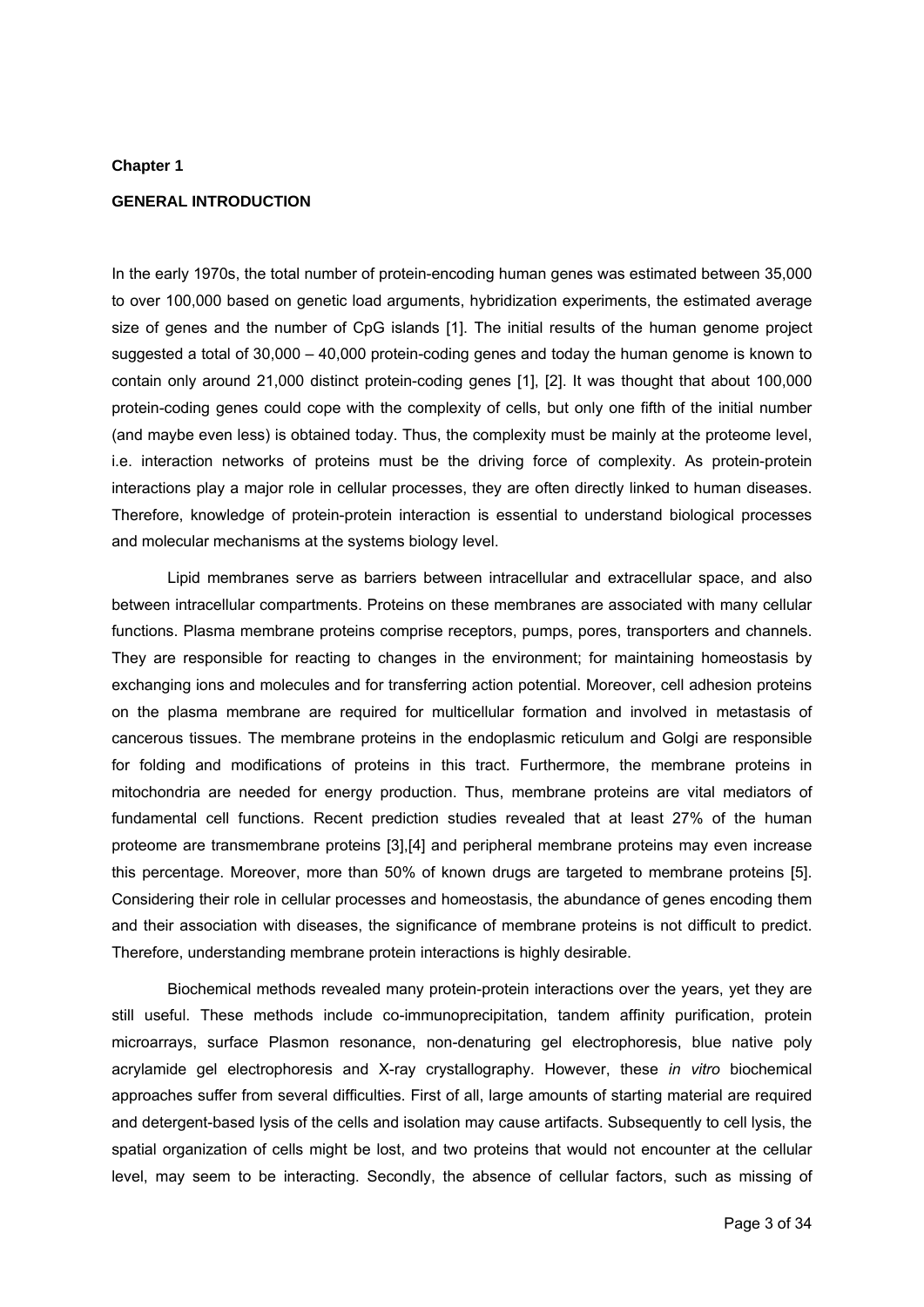#### **Chapter 1**

# **GENERAL INTRODUCTION**

In the early 1970s, the total number of protein-encoding human genes was estimated between 35,000 to over 100,000 based on genetic load arguments, hybridization experiments, the estimated average size of genes and the number of CpG islands [1]. The initial results of the human genome project suggested a total of 30,000 – 40,000 protein-coding genes and today the human genome is known to contain only around 21,000 distinct protein-coding genes [1], [2]. It was thought that about 100,000 protein-coding genes could cope with the complexity of cells, but only one fifth of the initial number (and maybe even less) is obtained today. Thus, the complexity must be mainly at the proteome level, i.e. interaction networks of proteins must be the driving force of complexity. As protein-protein interactions play a major role in cellular processes, they are often directly linked to human diseases. Therefore, knowledge of protein-protein interaction is essential to understand biological processes and molecular mechanisms at the systems biology level.

 Lipid membranes serve as barriers between intracellular and extracellular space, and also between intracellular compartments. Proteins on these membranes are associated with many cellular functions. Plasma membrane proteins comprise receptors, pumps, pores, transporters and channels. They are responsible for reacting to changes in the environment; for maintaining homeostasis by exchanging ions and molecules and for transferring action potential. Moreover, cell adhesion proteins on the plasma membrane are required for multicellular formation and involved in metastasis of cancerous tissues. The membrane proteins in the endoplasmic reticulum and Golgi are responsible for folding and modifications of proteins in this tract. Furthermore, the membrane proteins in mitochondria are needed for energy production. Thus, membrane proteins are vital mediators of fundamental cell functions. Recent prediction studies revealed that at least 27% of the human proteome are transmembrane proteins [3],[4] and peripheral membrane proteins may even increase this percentage. Moreover, more than 50% of known drugs are targeted to membrane proteins [5]. Considering their role in cellular processes and homeostasis, the abundance of genes encoding them and their association with diseases, the significance of membrane proteins is not difficult to predict. Therefore, understanding membrane protein interactions is highly desirable.

Biochemical methods revealed many protein-protein interactions over the years, yet they are still useful. These methods include co-immunoprecipitation, tandem affinity purification, protein microarrays, surface Plasmon resonance, non-denaturing gel electrophoresis, blue native poly acrylamide gel electrophoresis and X-ray crystallography. However, these *in vitro* biochemical approaches suffer from several difficulties. First of all, large amounts of starting material are required and detergent-based lysis of the cells and isolation may cause artifacts. Subsequently to cell lysis, the spatial organization of cells might be lost, and two proteins that would not encounter at the cellular level, may seem to be interacting. Secondly, the absence of cellular factors, such as missing of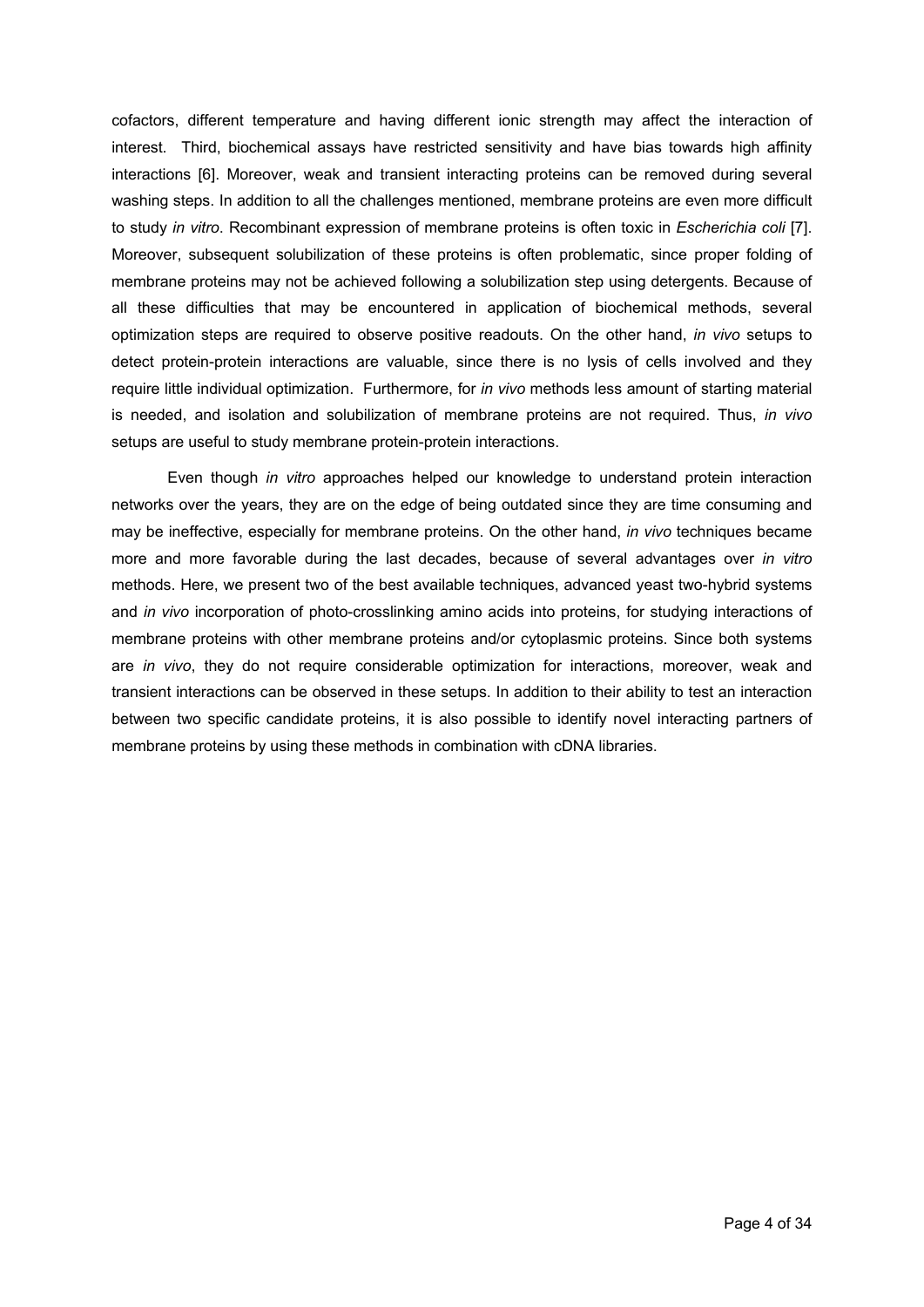cofactors, different temperature and having different ionic strength may affect the interaction of interest. Third, biochemical assays have restricted sensitivity and have bias towards high affinity interactions [6]. Moreover, weak and transient interacting proteins can be removed during several washing steps. In addition to all the challenges mentioned, membrane proteins are even more difficult to study *in vitro*. Recombinant expression of membrane proteins is often toxic in *Escherichia coli* [7]. Moreover, subsequent solubilization of these proteins is often problematic, since proper folding of membrane proteins may not be achieved following a solubilization step using detergents. Because of all these difficulties that may be encountered in application of biochemical methods, several optimization steps are required to observe positive readouts. On the other hand, *in vivo* setups to detect protein-protein interactions are valuable, since there is no lysis of cells involved and they require little individual optimization. Furthermore, for *in vivo* methods less amount of starting material is needed, and isolation and solubilization of membrane proteins are not required. Thus, *in vivo* setups are useful to study membrane protein-protein interactions.

Even though *in vitro* approaches helped our knowledge to understand protein interaction networks over the years, they are on the edge of being outdated since they are time consuming and may be ineffective, especially for membrane proteins. On the other hand, *in vivo* techniques became more and more favorable during the last decades, because of several advantages over *in vitro* methods. Here, we present two of the best available techniques, advanced yeast two-hybrid systems and *in vivo* incorporation of photo-crosslinking amino acids into proteins, for studying interactions of membrane proteins with other membrane proteins and/or cytoplasmic proteins. Since both systems are *in vivo*, they do not require considerable optimization for interactions, moreover, weak and transient interactions can be observed in these setups. In addition to their ability to test an interaction between two specific candidate proteins, it is also possible to identify novel interacting partners of membrane proteins by using these methods in combination with cDNA libraries.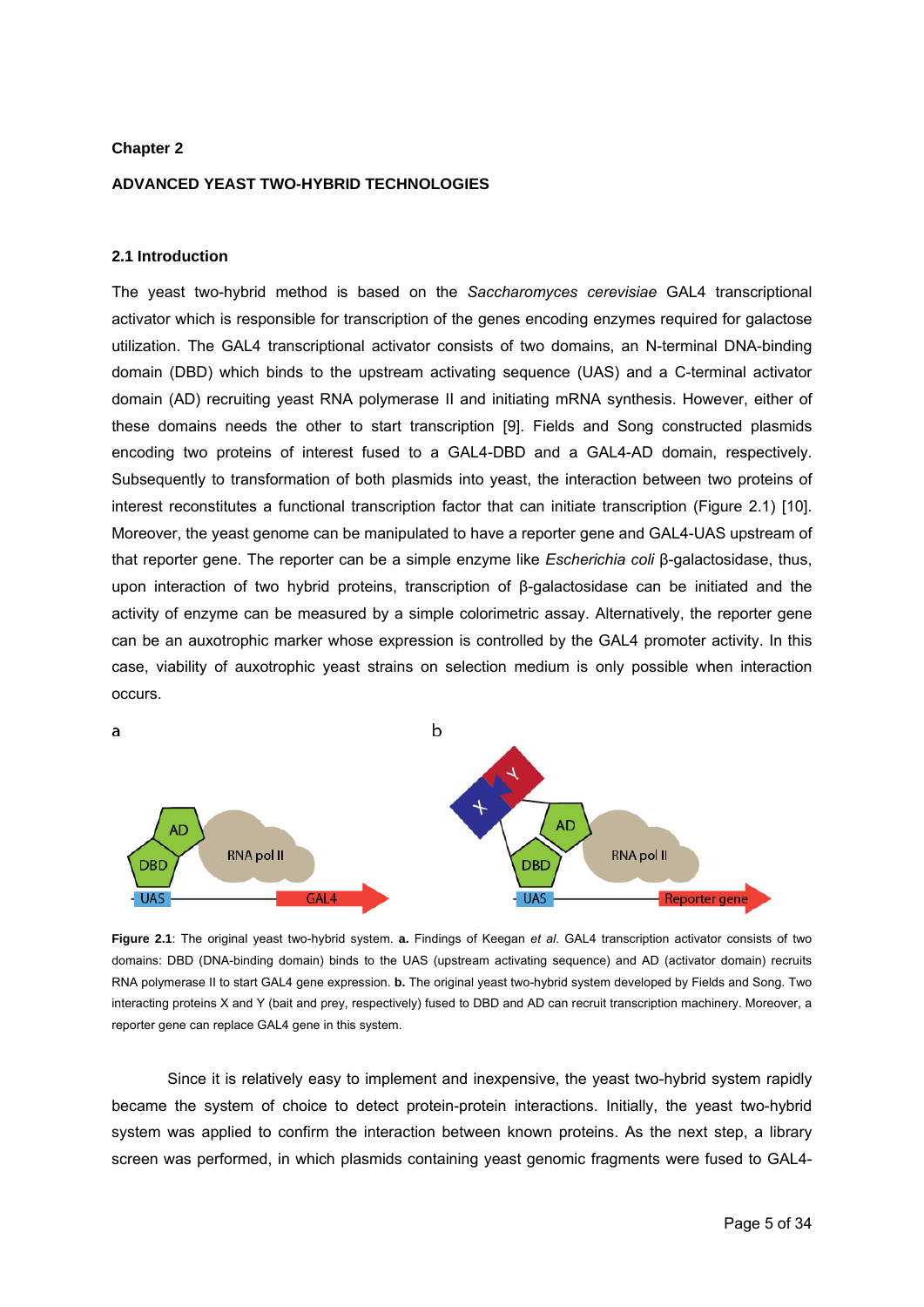# **Chapter 2**

# **ADVANCED YEAST TWO-HYBRID TECHNOLOGIES**

## **2.1 Introduction**

The yeast two-hybrid method is based on the *Saccharomyces cerevisiae* GAL4 transcriptional activator which is responsible for transcription of the genes encoding enzymes required for galactose utilization. The GAL4 transcriptional activator consists of two domains, an N-terminal DNA-binding domain (DBD) which binds to the upstream activating sequence (UAS) and a C-terminal activator domain (AD) recruiting yeast RNA polymerase II and initiating mRNA synthesis. However, either of these domains needs the other to start transcription [9]. Fields and Song constructed plasmids encoding two proteins of interest fused to a GAL4-DBD and a GAL4-AD domain, respectively. Subsequently to transformation of both plasmids into yeast, the interaction between two proteins of interest reconstitutes a functional transcription factor that can initiate transcription (Figure 2.1) [10]. Moreover, the yeast genome can be manipulated to have a reporter gene and GAL4-UAS upstream of that reporter gene. The reporter can be a simple enzyme like *Escherichia coli* β-galactosidase, thus, upon interaction of two hybrid proteins, transcription of β-galactosidase can be initiated and the activity of enzyme can be measured by a simple colorimetric assay. Alternatively, the reporter gene can be an auxotrophic marker whose expression is controlled by the GAL4 promoter activity. In this case, viability of auxotrophic yeast strains on selection medium is only possible when interaction occurs.



**Figure 2.1**: The original yeast two-hybrid system. **a.** Findings of Keegan *et al*. GAL4 transcription activator consists of two domains: DBD (DNA-binding domain) binds to the UAS (upstream activating sequence) and AD (activator domain) recruits RNA polymerase II to start GAL4 gene expression. **b.** The original yeast two-hybrid system developed by Fields and Song. Two interacting proteins X and Y (bait and prey, respectively) fused to DBD and AD can recruit transcription machinery. Moreover, a reporter gene can replace GAL4 gene in this system.

Since it is relatively easy to implement and inexpensive, the yeast two-hybrid system rapidly became the system of choice to detect protein-protein interactions. Initially, the yeast two-hybrid system was applied to confirm the interaction between known proteins. As the next step, a library screen was performed, in which plasmids containing yeast genomic fragments were fused to GAL4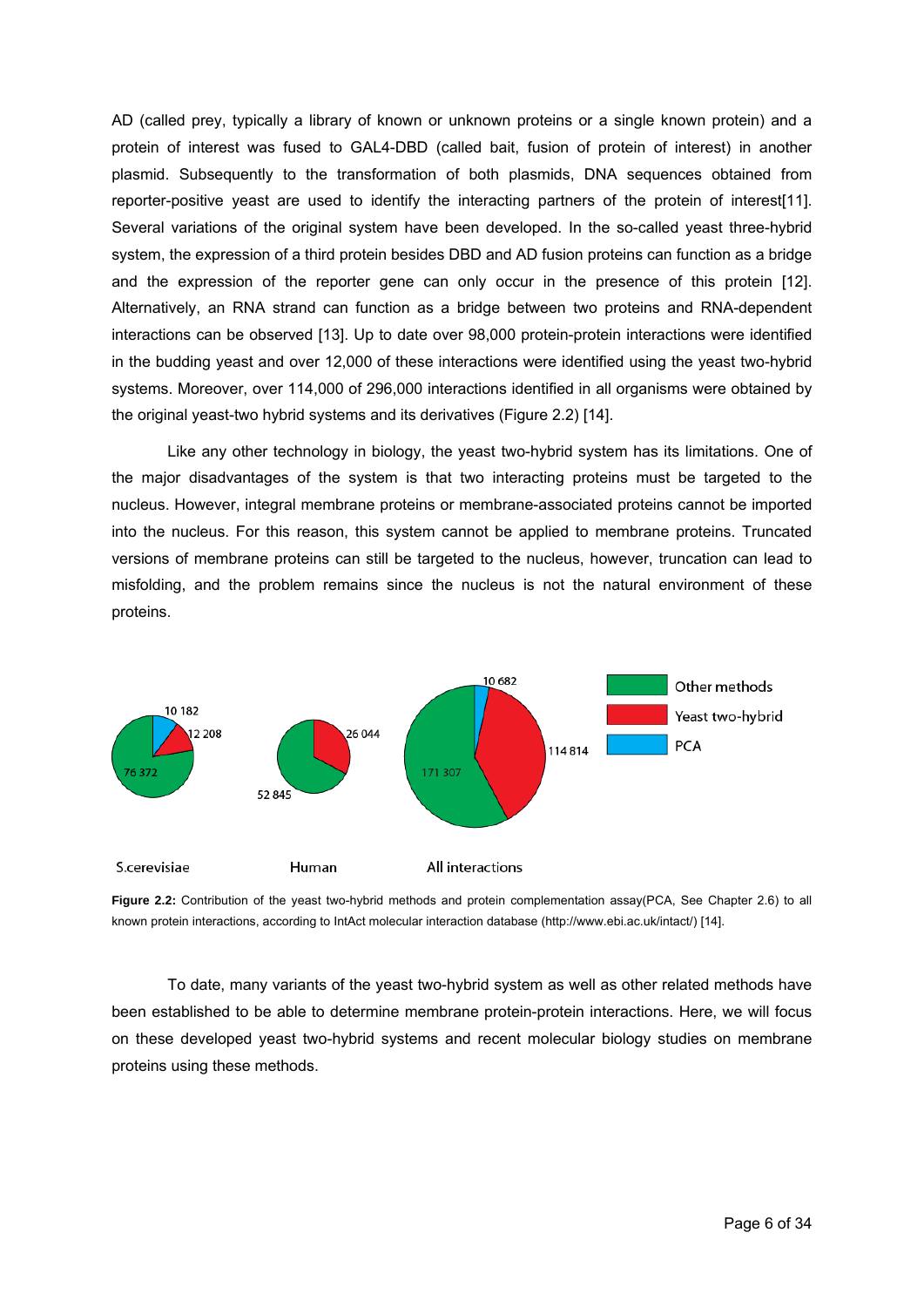AD (called prey, typically a library of known or unknown proteins or a single known protein) and a protein of interest was fused to GAL4-DBD (called bait, fusion of protein of interest) in another plasmid. Subsequently to the transformation of both plasmids, DNA sequences obtained from reporter-positive yeast are used to identify the interacting partners of the protein of interest[11]. Several variations of the original system have been developed. In the so-called yeast three-hybrid system, the expression of a third protein besides DBD and AD fusion proteins can function as a bridge and the expression of the reporter gene can only occur in the presence of this protein [12]. Alternatively, an RNA strand can function as a bridge between two proteins and RNA-dependent interactions can be observed [13]. Up to date over 98,000 protein-protein interactions were identified in the budding yeast and over 12,000 of these interactions were identified using the yeast two-hybrid systems. Moreover, over 114,000 of 296,000 interactions identified in all organisms were obtained by the orig inal yeast-two hybrid systems and its derivatives (Figure 2.2) [14].

misfolding, and the problem remains since the nucleus is not the natural environment of these proteins. Like any other technology in biology, the yeast two-hybrid system has its limitations. One of the major disadvantages of the system is that two interacting proteins must be targeted to the nucleus. However, integral membrane proteins or membrane-associated proteins cannot be imported into the nucleus. For this reason, this system cannot be applied to membrane proteins. Truncated versions of membrane proteins can still be targeted to the nucleus, however, truncation can lead to



**Figure 2.2:** Contribution of the yeast two-hybrid methods and protein complementation assay(PCA, See Chapter 2.6) to all known protein interactions, according to IntAct molecular interaction database (http://www.ebi.ac.uk/intact/) [14].

on these developed yeast two-hybrid systems and recent molecular biology studies on membrane proteins using these methods. To date, many variants of the yeast two-hybrid system as well as other related methods have been established to be able to determine membrane protein-protein interactions. Here, we will focus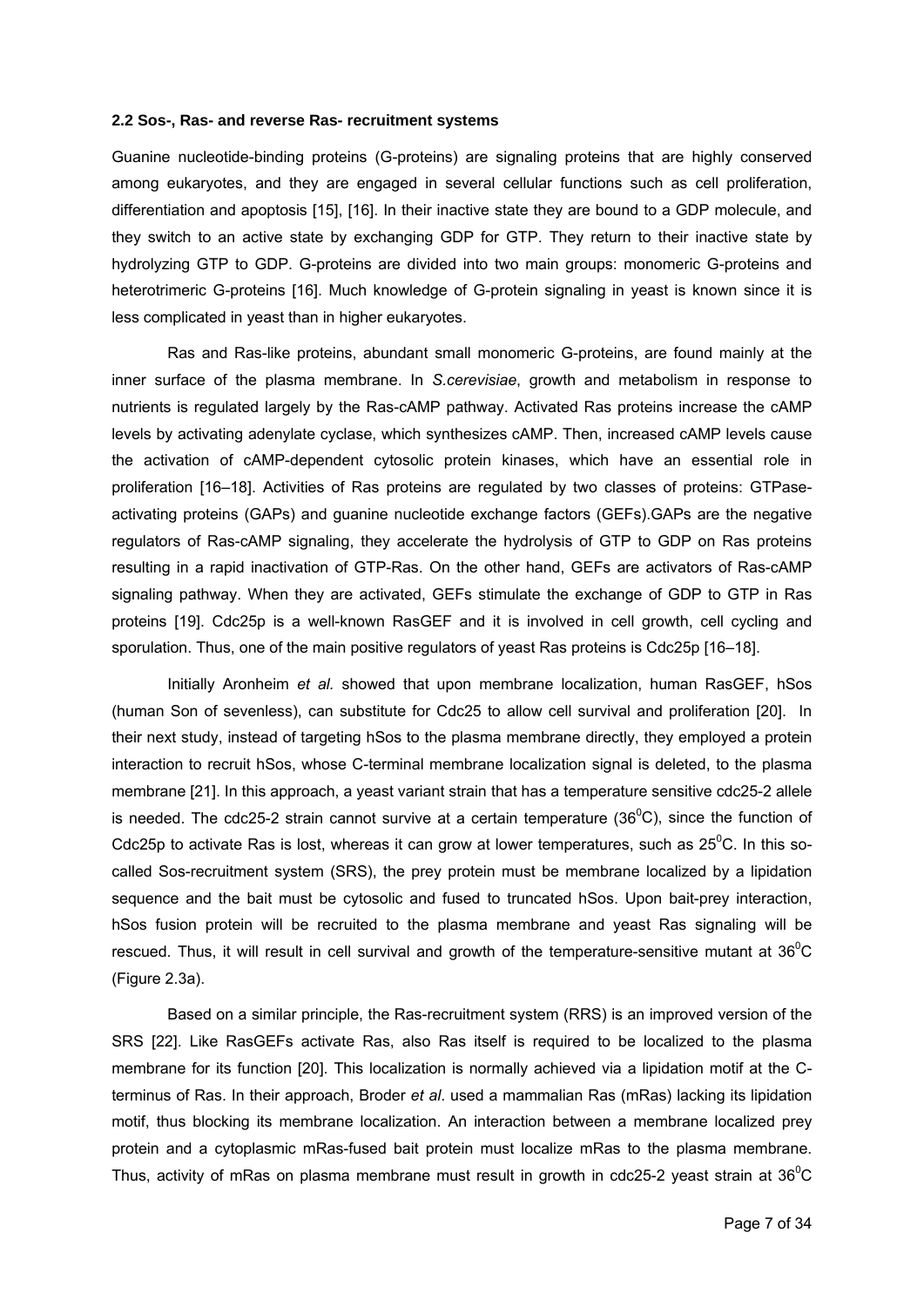#### **2.2 Sos-, Ras- and reverse Ras- recruitment systems**

Guanine nucleotide-binding proteins (G-proteins) are signaling proteins that are highly conserved among eukaryotes, and they are engaged in several cellular functions such as cell proliferation, differentiation and apoptosis [15], [16]. In their inactive state they are bound to a GDP molecule, and they switch to an active state by exchanging GDP for GTP. They return to their inactive state by hydrolyzing GTP to GDP. G-proteins are divided into two main groups: monomeric G-proteins and heterotrimeric G-proteins [16]. Much knowledge of G-protein signaling in yeast is known since it is less complicated in yeast than in higher eukaryotes.

 Ras and Ras-like proteins, abundant small monomeric G-proteins, are found mainly at the inner surface of the plasma membrane. In *S.cerevisiae*, growth and metabolism in response to nutrients is regulated largely by the Ras-cAMP pathway. Activated Ras proteins increase the cAMP levels by activating adenylate cyclase, which synthesizes cAMP. Then, increased cAMP levels cause the activation of cAMP-dependent cytosolic protein kinases, which have an essential role in proliferation [16–18]. Activities of Ras proteins are regulated by two classes of proteins: GTPaseactivating proteins (GAPs) and guanine nucleotide exchange factors (GEFs).GAPs are the negative regulators of Ras-cAMP signaling, they accelerate the hydrolysis of GTP to GDP on Ras proteins resulting in a rapid inactivation of GTP-Ras. On the other hand, GEFs are activators of Ras-cAMP signaling pathway. When they are activated, GEFs stimulate the exchange of GDP to GTP in Ras proteins [19]. Cdc25p is a well-known RasGEF and it is involved in cell growth, cell cycling and sporulation. Thus, one of the main positive regulators of yeast Ras proteins is Cdc25p [16–18].

 Initially Aronheim *et al.* showed that upon membrane localization, human RasGEF, hSos (human Son of sevenless), can substitute for Cdc25 to allow cell survival and proliferation [20]. In their next study, instead of targeting hSos to the plasma membrane directly, they employed a protein interaction to recruit hSos, whose C-terminal membrane localization signal is deleted, to the plasma membrane [21]. In this approach, a yeast variant strain that has a temperature sensitive cdc25-2 allele is needed. The cdc25-2 strain cannot survive at a certain temperature (36 $^0$ C), since the function of Cdc25p to activate Ras is lost, whereas it can grow at lower temperatures, such as  $25^{\circ}$ C. In this socalled Sos-recruitment system (SRS), the prey protein must be membrane localized by a lipidation sequence and the bait must be cytosolic and fused to truncated hSos. Upon bait-prey interaction, hSos fusion protein will be recruited to the plasma membrane and yeast Ras signaling will be rescued. Thus, it will result in cell survival and growth of the temperature-sensitive mutant at  $36^{\circ}$ C (Figure 2.3a).

 Based on a similar principle, the Ras-recruitment system (RRS) is an improved version of the SRS [22]. Like RasGEFs activate Ras, also Ras itself is required to be localized to the plasma membrane for its function [20]. This localization is normally achieved via a lipidation motif at the Cterminus of Ras. In their approach, Broder *et al*. used a mammalian Ras (mRas) lacking its lipidation motif, thus blocking its membrane localization. An interaction between a membrane localized prey protein and a cytoplasmic mRas-fused bait protein must localize mRas to the plasma membrane. Thus, activity of mRas on plasma membrane must result in growth in cdc25-2 yeast strain at 36 $\mathrm{^{0}C}$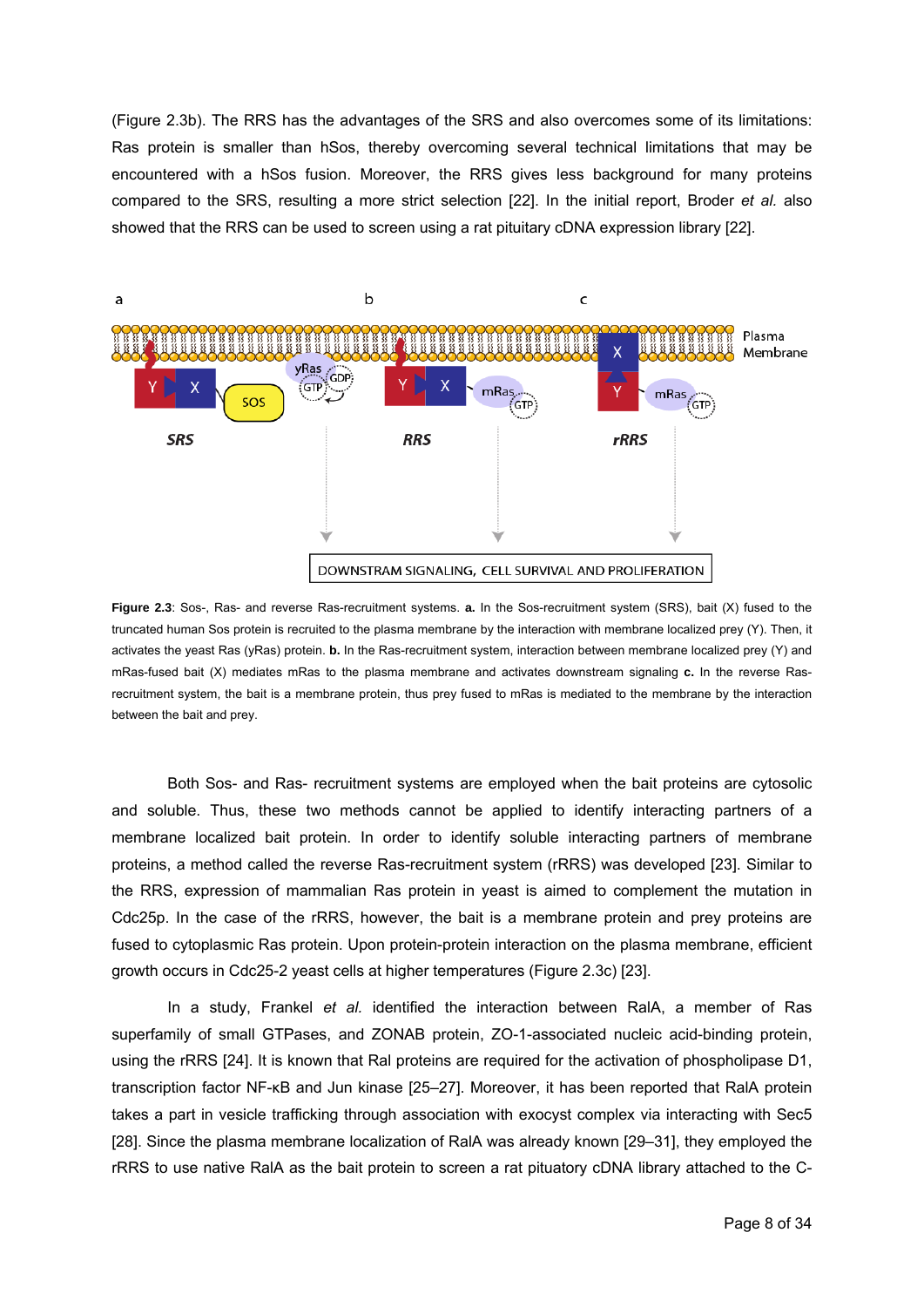(Figure 2.3b). The RRS has the advantages of the SRS and also overcomes some of its limitations: Ras protein is smaller than hSos, thereby overcoming several technical limitations that may be encountered with a hSos fusion. Moreover, the RRS gives less background for many proteins compared to the SRS, resulting a more strict selection [22]. In the initial report, Broder *et al.* also showed that the RRS can be used to screen using a rat pituitary cDNA expression library [22].



**Figure 2.3**: Sos-, Ras- and reverse Ras-recruitment systems. **a.** In the Sos-recruitment system (SRS), bait (X) fused to the truncated human Sos protein is recruited to the plasma membrane by the interaction with membrane localized prey (Y). Then, it activates the yeast Ras (yRas) protein. **b.** In the Ras-recruitment system, interaction between membrane localized prey (Y) and mRas-fused bait (X) mediates mRas to the plasma membrane and activates downstream signaling **c.** In the reverse Rasrecruitment system, the bait is a membrane protein, thus prey fused to mRas is mediated to the membrane by the interaction between the bait and prey.

 Both Sos- and Ras- recruitment systems are employed when the bait proteins are cytosolic and soluble. Thus, these two methods cannot be applied to identify interacting partners of a membrane localized bait protein. In order to identify soluble interacting partners of membrane proteins, a method called the reverse Ras-recruitment system (rRRS) was developed [23]. Similar to the RRS, expression of mammalian Ras protein in yeast is aimed to complement the mutation in Cdc25p. In the case of the rRRS, however, the bait is a membrane protein and prey proteins are fused to cytoplasmic Ras protein. Upon protein-protein interaction on the plasma membrane, efficient growth occurs in Cdc25-2 yeast cells at higher temperatures (Figure 2.3c) [23].

 In a study, Frankel *et al.* identified the interaction between RalA, a member of Ras superfamily of small GTPases, and ZONAB protein, ZO-1-associated nucleic acid-binding protein, using the rRRS [24]. It is known that Ral proteins are required for the activation of phospholipase D1, transcription factor NF-κB and Jun kinase [25–27]. Moreover, it has been reported that RalA protein takes a part in vesicle trafficking through association with exocyst complex via interacting with Sec5 [28]. Since the plasma membrane localization of RalA was already known [29–31], they employed the rRRS to use native RalA as the bait protein to screen a rat pituatory cDNA library attached to the C-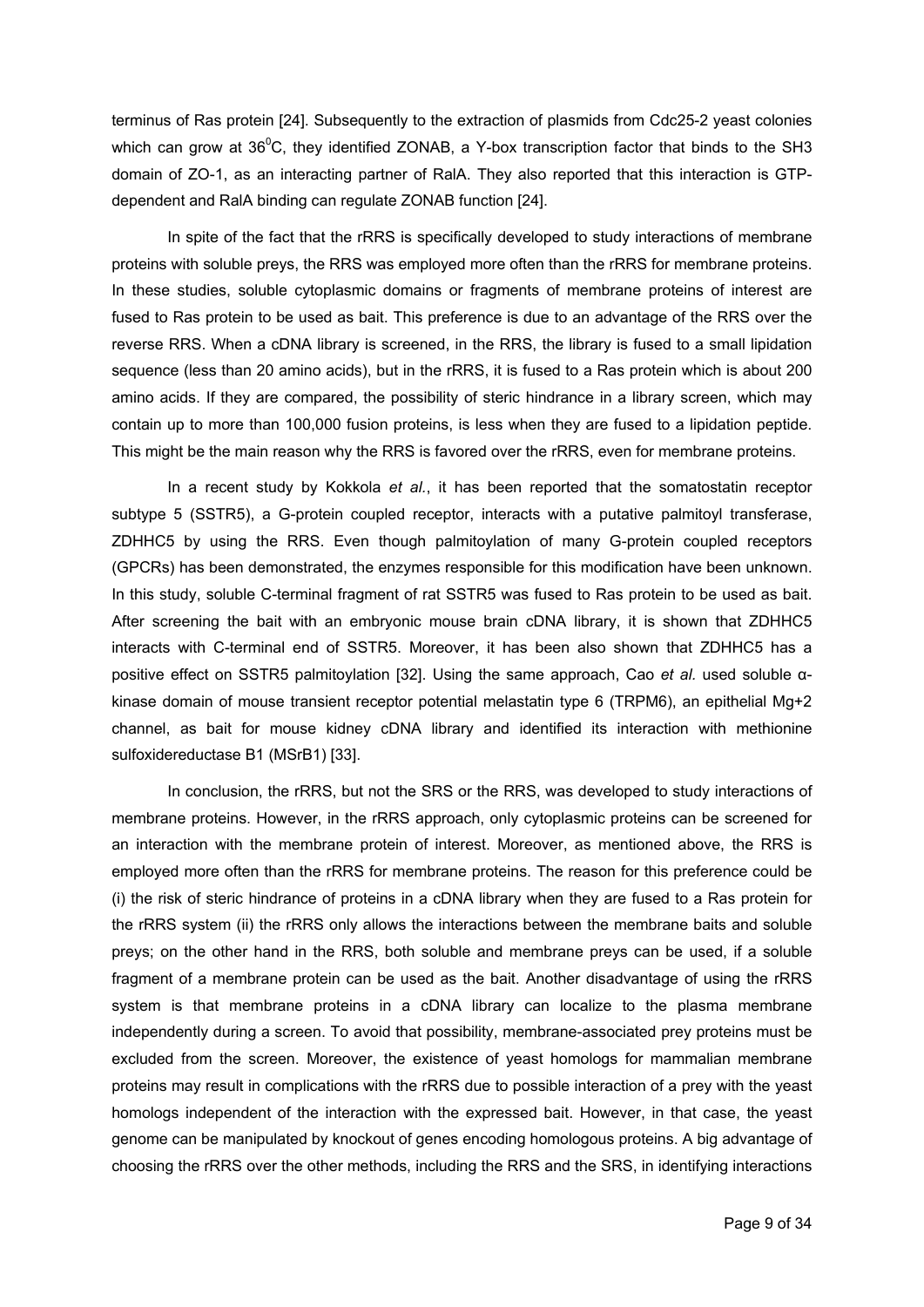terminus of Ras protein [24]. Subsequently to the extraction of plasmids from Cdc25-2 yeast colonies which can grow at  $36^{\circ}$ C, they identified ZONAB, a Y-box transcription factor that binds to the SH3 domain of ZO-1, as an interacting partner of RalA. They also reported that this interaction is GTPdependent and RalA binding can regulate ZONAB function [24].

 In spite of the fact that the rRRS is specifically developed to study interactions of membrane proteins with soluble preys, the RRS was employed more often than the rRRS for membrane proteins. In these studies, soluble cytoplasmic domains or fragments of membrane proteins of interest are fused to Ras protein to be used as bait. This preference is due to an advantage of the RRS over the reverse RRS. When a cDNA library is screened, in the RRS, the library is fused to a small lipidation sequence (less than 20 amino acids), but in the rRRS, it is fused to a Ras protein which is about 200 amino acids. If they are compared, the possibility of steric hindrance in a library screen, which may contain up to more than 100,000 fusion proteins, is less when they are fused to a lipidation peptide. This might be the main reason why the RRS is favored over the rRRS, even for membrane proteins.

 In a recent study by Kokkola *et al.*, it has been reported that the somatostatin receptor subtype 5 (SSTR5), a G-protein coupled receptor, interacts with a putative palmitoyl transferase, ZDHHC5 by using the RRS. Even though palmitoylation of many G-protein coupled receptors (GPCRs) has been demonstrated, the enzymes responsible for this modification have been unknown. In this study, soluble C-terminal fragment of rat SSTR5 was fused to Ras protein to be used as bait. After screening the bait with an embryonic mouse brain cDNA library, it is shown that ZDHHC5 interacts with C-terminal end of SSTR5. Moreover, it has been also shown that ZDHHC5 has a positive effect on SSTR5 palmitoylation [32]. Using the same approach, Cao *et al.* used soluble αkinase domain of mouse transient receptor potential melastatin type 6 (TRPM6), an epithelial Mg+2 channel, as bait for mouse kidney cDNA library and identified its interaction with methionine sulfoxidereductase B1 (MSrB1) [33].

In conclusion, the rRRS, but not the SRS or the RRS, was developed to study interactions of membrane proteins. However, in the rRRS approach, only cytoplasmic proteins can be screened for an interaction with the membrane protein of interest. Moreover, as mentioned above, the RRS is employed more often than the rRRS for membrane proteins. The reason for this preference could be (i) the risk of steric hindrance of proteins in a cDNA library when they are fused to a Ras protein for the rRRS system (ii) the rRRS only allows the interactions between the membrane baits and soluble preys; on the other hand in the RRS, both soluble and membrane preys can be used, if a soluble fragment of a membrane protein can be used as the bait. Another disadvantage of using the rRRS system is that membrane proteins in a cDNA library can localize to the plasma membrane independently during a screen. To avoid that possibility, membrane-associated prey proteins must be excluded from the screen. Moreover, the existence of yeast homologs for mammalian membrane proteins may result in complications with the rRRS due to possible interaction of a prey with the yeast homologs independent of the interaction with the expressed bait. However, in that case, the yeast genome can be manipulated by knockout of genes encoding homologous proteins. A big advantage of choosing the rRRS over the other methods, including the RRS and the SRS, in identifying interactions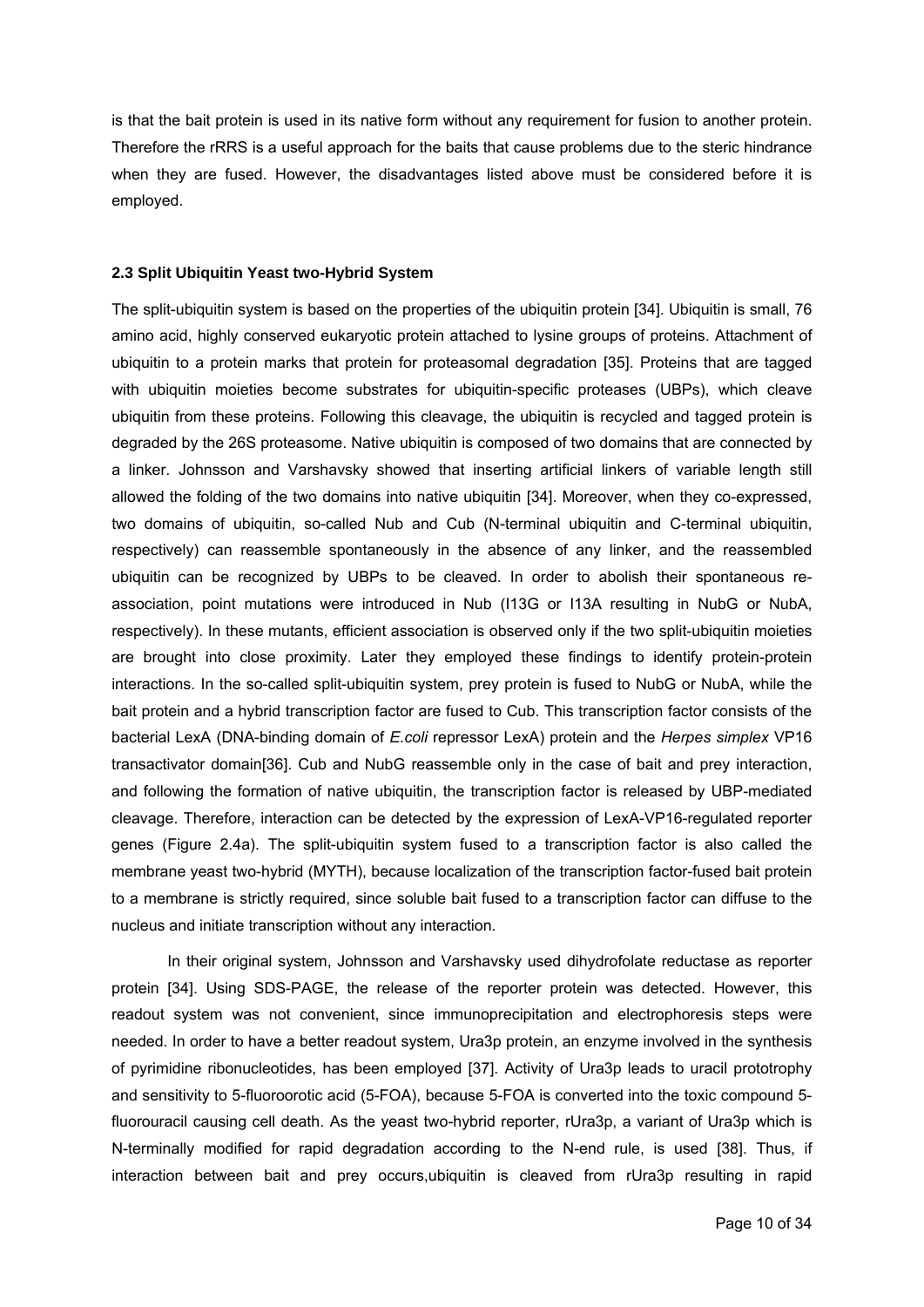is that the bait protein is used in its native form without any requirement for fusion to another protein. Therefore the rRRS is a useful approach for the baits that cause problems due to the steric hindrance when they are fused. However, the disadvantages listed above must be considered before it is employed.

# **2.3 Split Ubiquitin Yeast two-Hybrid System**

The split-ubiquitin system is based on the properties of the ubiquitin protein [34]. Ubiquitin is small, 76 amino acid, highly conserved eukaryotic protein attached to lysine groups of proteins. Attachment of ubiquitin to a protein marks that protein for proteasomal degradation [35]. Proteins that are tagged with ubiquitin moieties become substrates for ubiquitin-specific proteases (UBPs), which cleave ubiquitin from these proteins. Following this cleavage, the ubiquitin is recycled and tagged protein is degraded by the 26S proteasome. Native ubiquitin is composed of two domains that are connected by a linker. Johnsson and Varshavsky showed that inserting artificial linkers of variable length still allowed the folding of the two domains into native ubiquitin [34]. Moreover, when they co-expressed, two domains of ubiquitin, so-called Nub and Cub (N-terminal ubiquitin and C-terminal ubiquitin, respectively) can reassemble spontaneously in the absence of any linker, and the reassembled ubiquitin can be recognized by UBPs to be cleaved. In order to abolish their spontaneous reassociation, point mutations were introduced in Nub (I13G or I13A resulting in NubG or NubA, respectively). In these mutants, efficient association is observed only if the two split-ubiquitin moieties are brought into close proximity. Later they employed these findings to identify protein-protein interactions. In the so-called split-ubiquitin system, prey protein is fused to NubG or NubA, while the bait protein and a hybrid transcription factor are fused to Cub. This transcription factor consists of the bacterial LexA (DNA-binding domain of *E.coli* repressor LexA) protein and the *Herpes simplex* VP16 transactivator domain[36]. Cub and NubG reassemble only in the case of bait and prey interaction, and following the formation of native ubiquitin, the transcription factor is released by UBP-mediated cleavage. Therefore, interaction can be detected by the expression of LexA-VP16-regulated reporter genes (Figure 2.4a). The split-ubiquitin system fused to a transcription factor is also called the membrane yeast two-hybrid (MYTH), because localization of the transcription factor-fused bait protein to a membrane is strictly required, since soluble bait fused to a transcription factor can diffuse to the nucleus and initiate transcription without any interaction.

In their original system, Johnsson and Varshavsky used dihydrofolate reductase as reporter protein [34]. Using SDS-PAGE, the release of the reporter protein was detected. However, this readout system was not convenient, since immunoprecipitation and electrophoresis steps were needed. In order to have a better readout system, Ura3p protein, an enzyme involved in the synthesis of pyrimidine ribonucleotides, has been employed [37]. Activity of Ura3p leads to uracil prototrophy and sensitivity to 5-fluoroorotic acid (5-FOA), because 5-FOA is converted into the toxic compound 5 fluorouracil causing cell death. As the yeast two-hybrid reporter, rUra3p, a variant of Ura3p which is N-terminally modified for rapid degradation according to the N-end rule, is used [38]. Thus, if interaction between bait and prey occurs,ubiquitin is cleaved from rUra3p resulting in rapid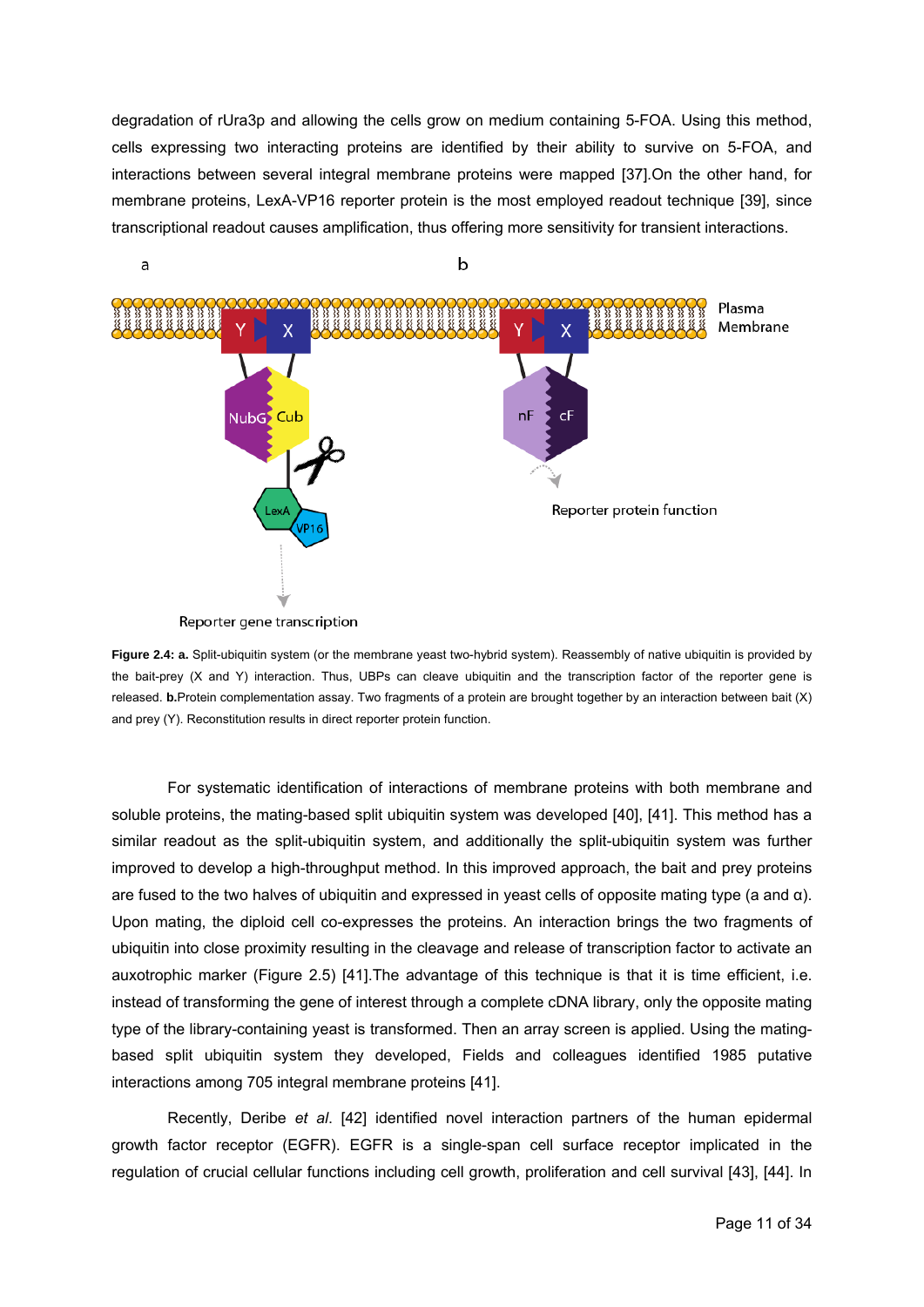degradation of rUra3p and allowing the cells grow on medium containing 5-FOA. Using this method, cells expressing two interacting proteins are identified by their ability to survive on 5-FOA, and interactions between several integral membrane proteins were mapped [37]*.*On the other hand, for membrane proteins, LexA-VP16 reporter protein is the most employed readout technique [39], since transcriptional readout causes amplification, thus offering more sensitivity for transient interactions.



**Figure 2.4: a.** Split-ubiquitin system (or the membrane yeast two-hybrid system). Reassembly of native ubiquitin is provided by the bait-prey (X and Y) interaction. Thus, UBPs can cleave ubiquitin and the transcription factor of the reporter gene is released. **b.**Protein complementation assay. Two fragments of a protein are brought together by an interaction between bait (X) and prey (Y). Reconstitution results in direct reporter protein function.

 For systematic identification of interactions of membrane proteins with both membrane and soluble proteins, the mating-based split ubiquitin system was developed [40], [41]. This method has a similar readout as the split-ubiquitin system, and additionally the split-ubiquitin system was further improved to develop a high-throughput method. In this improved approach, the bait and prey proteins are fused to the two halves of ubiquitin and expressed in yeast cells of opposite mating type (a and α). Upon mating, the diploid cell co-expresses the proteins. An interaction brings the two fragments of ubiquitin into close proximity resulting in the cleavage and release of transcription factor to activate an auxotrophic marker (Figure 2.5) [41].The advantage of this technique is that it is time efficient, i.e. instead of transforming the gene of interest through a complete cDNA library, only the opposite mating type of the library-containing yeast is transformed. Then an array screen is applied. Using the matingbased split ubiquitin system they developed, Fields and colleagues identified 1985 putative interactions among 705 integral membrane proteins [41].

 Recently, Deribe *et al*. [42] identified novel interaction partners of the human epidermal growth factor receptor (EGFR). EGFR is a single-span cell surface receptor implicated in the regulation of crucial cellular functions including cell growth, proliferation and cell survival [43], [44]. In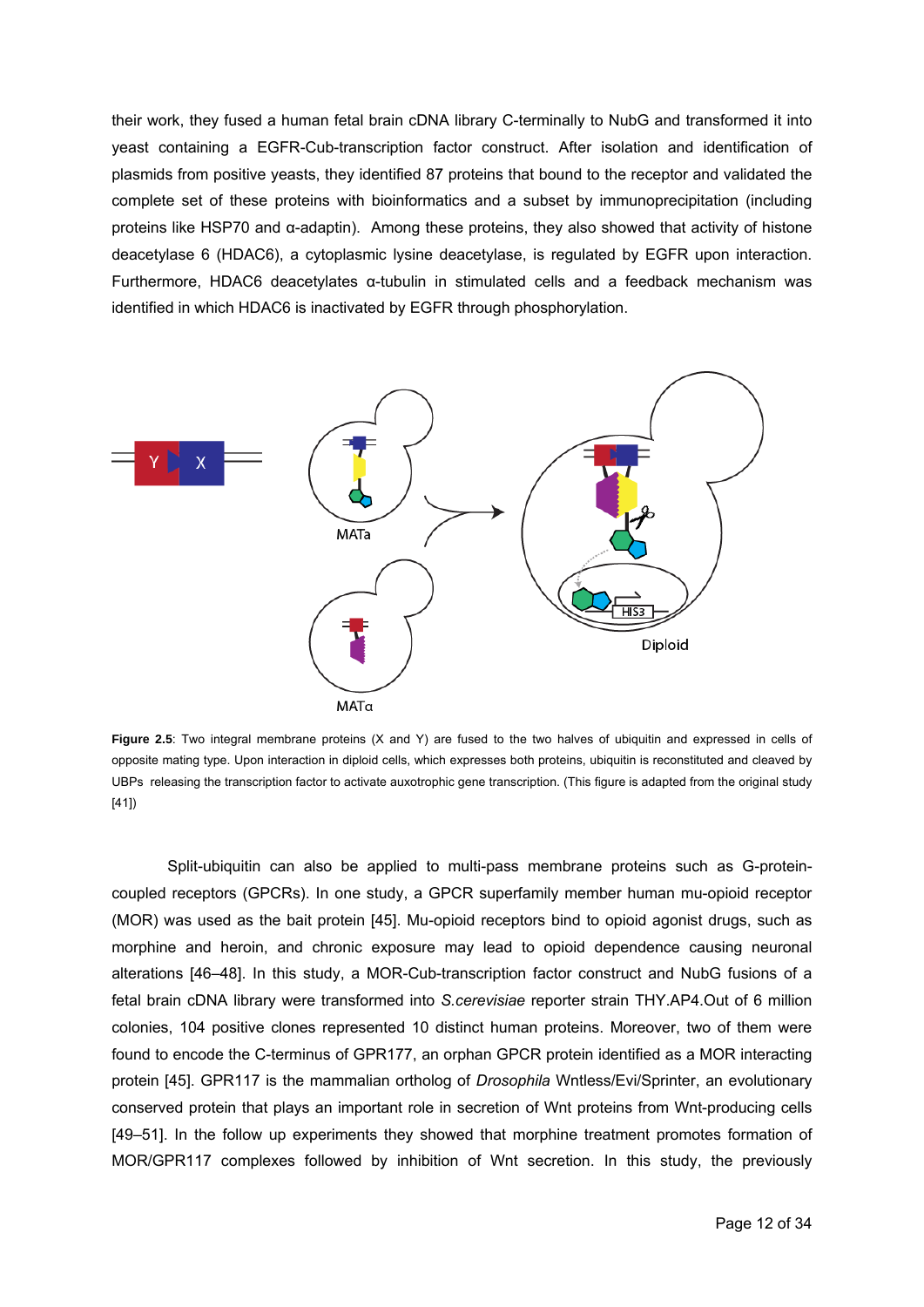their work, they fused a human fetal brain cDNA library C-terminally to NubG and transformed it into yeast containing a EGFR-Cub-transcription factor construct. After isolation and identification of plasmids from positive yeasts, they identified 87 proteins that bound to the receptor and validated the complete set of these proteins with bioinformatics and a subset by immunoprecipitation (including proteins like HSP70 and α-adaptin). Among these proteins, they also showed that activity of histone deacetylase 6 (HDAC6), a cytoplasmic lysine deacetylase, is regulated by EGFR upon interaction. Furthermore, HDAC6 deacetylates α-tubulin in stimulated cells and a feedback mechanism was identified in which HDAC6 is inactivated by EGFR through phosphorylation.



**Figure 2.5**: Two integral membrane proteins (X and Y) are fused to the two halves of ubiquitin and expressed in cells of opposite mating type. Upon interaction in diploid cells, which expresses both proteins, ubiquitin is reconstituted and cleaved by UBPs releasing the transcription factor to activate auxotrophic gene transcription. (This figure is adapted from the original study [41])

Split-ubiquitin can also be applied to multi-pass membrane proteins such as G-proteincoupled receptors (GPCRs). In one study, a GPCR superfamily member human mu-opioid receptor (MOR) was used as the bait protein [45]. Mu-opioid receptors bind to opioid agonist drugs, such as morphine and heroin, and chronic exposure may lead to opioid dependence causing neuronal alterations [46–48]. In this study, a MOR-Cub-transcription factor construct and NubG fusions of a fetal brain cDNA library were transformed into *S.cerevisiae* reporter strain THY.AP4.Out of 6 million colonies, 104 positive clones represented 10 distinct human proteins. Moreover, two of them were found to encode the C-terminus of GPR177, an orphan GPCR protein identified as a MOR interacting protein [45]. GPR117 is the mammalian ortholog of *Drosophila* Wntless/Evi/Sprinter, an evolutionary conserved protein that plays an important role in secretion of Wnt proteins from Wnt-producing cells [49–51]. In the follow up experiments they showed that morphine treatment promotes formation of MOR/GPR117 complexes followed by inhibition of Wnt secretion. In this study, the previously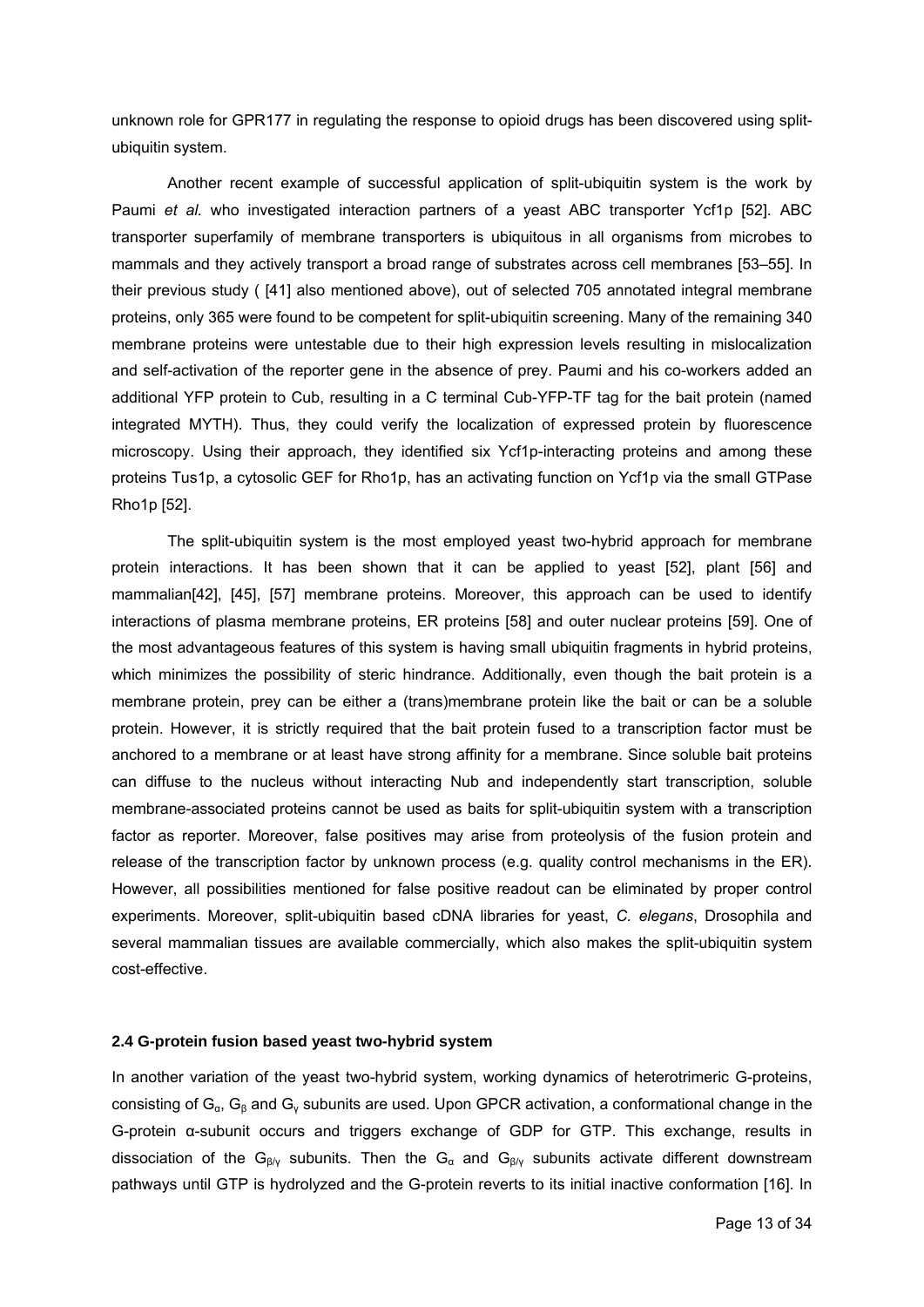unknown role for GPR177 in regulating the response to opioid drugs has been discovered using splitubiquitin system.

Another recent example of successful application of split-ubiquitin system is the work by Paumi *et al.* who investigated interaction partners of a yeast ABC transporter Ycf1p [52]. ABC transporter superfamily of membrane transporters is ubiquitous in all organisms from microbes to mammals and they actively transport a broad range of substrates across cell membranes [53–55]. In their previous study ( [41] also mentioned above), out of selected 705 annotated integral membrane proteins, only 365 were found to be competent for split-ubiquitin screening. Many of the remaining 340 membrane proteins were untestable due to their high expression levels resulting in mislocalization and self-activation of the reporter gene in the absence of prey. Paumi and his co-workers added an additional YFP protein to Cub, resulting in a C terminal Cub-YFP-TF tag for the bait protein (named integrated MYTH). Thus, they could verify the localization of expressed protein by fluorescence microscopy. Using their approach, they identified six Ycf1p-interacting proteins and among these proteins Tus1p, a cytosolic GEF for Rho1p, has an activating function on Ycf1p via the small GTPase Rho1p [52].

The split-ubiquitin system is the most employed yeast two-hybrid approach for membrane protein interactions. It has been shown that it can be applied to yeast [52], plant [56] and mammalian[42], [45], [57] membrane proteins. Moreover, this approach can be used to identify interactions of plasma membrane proteins, ER proteins [58] and outer nuclear proteins [59]. One of the most advantageous features of this system is having small ubiquitin fragments in hybrid proteins, which minimizes the possibility of steric hindrance. Additionally, even though the bait protein is a membrane protein, prey can be either a (trans)membrane protein like the bait or can be a soluble protein. However, it is strictly required that the bait protein fused to a transcription factor must be anchored to a membrane or at least have strong affinity for a membrane. Since soluble bait proteins can diffuse to the nucleus without interacting Nub and independently start transcription, soluble membrane-associated proteins cannot be used as baits for split-ubiquitin system with a transcription factor as reporter. Moreover, false positives may arise from proteolysis of the fusion protein and release of the transcription factor by unknown process (e.g. quality control mechanisms in the ER). However, all possibilities mentioned for false positive readout can be eliminated by proper control experiments. Moreover, split-ubiquitin based cDNA libraries for yeast, *C. elegans*, Drosophila and several mammalian tissues are available commercially, which also makes the split-ubiquitin system cost-effective.

# **2.4 G-protein fusion based yeast two-hybrid system**

In another variation of the yeast two-hybrid system, working dynamics of heterotrimeric G-proteins, consisting of  $G_\alpha$ ,  $G_\beta$  and  $G_\gamma$  subunits are used. Upon GPCR activation, a conformational change in the G-protein α-subunit occurs and triggers exchange of GDP for GTP. This exchange, results in dissociation of the G<sub>β/γ</sub> subunits. Then the G<sub>α</sub> and G<sub>β/γ</sub> subunits activate different downstream pathways until GTP is hydrolyzed and the G-protein reverts to its initial inactive conformation [16]. In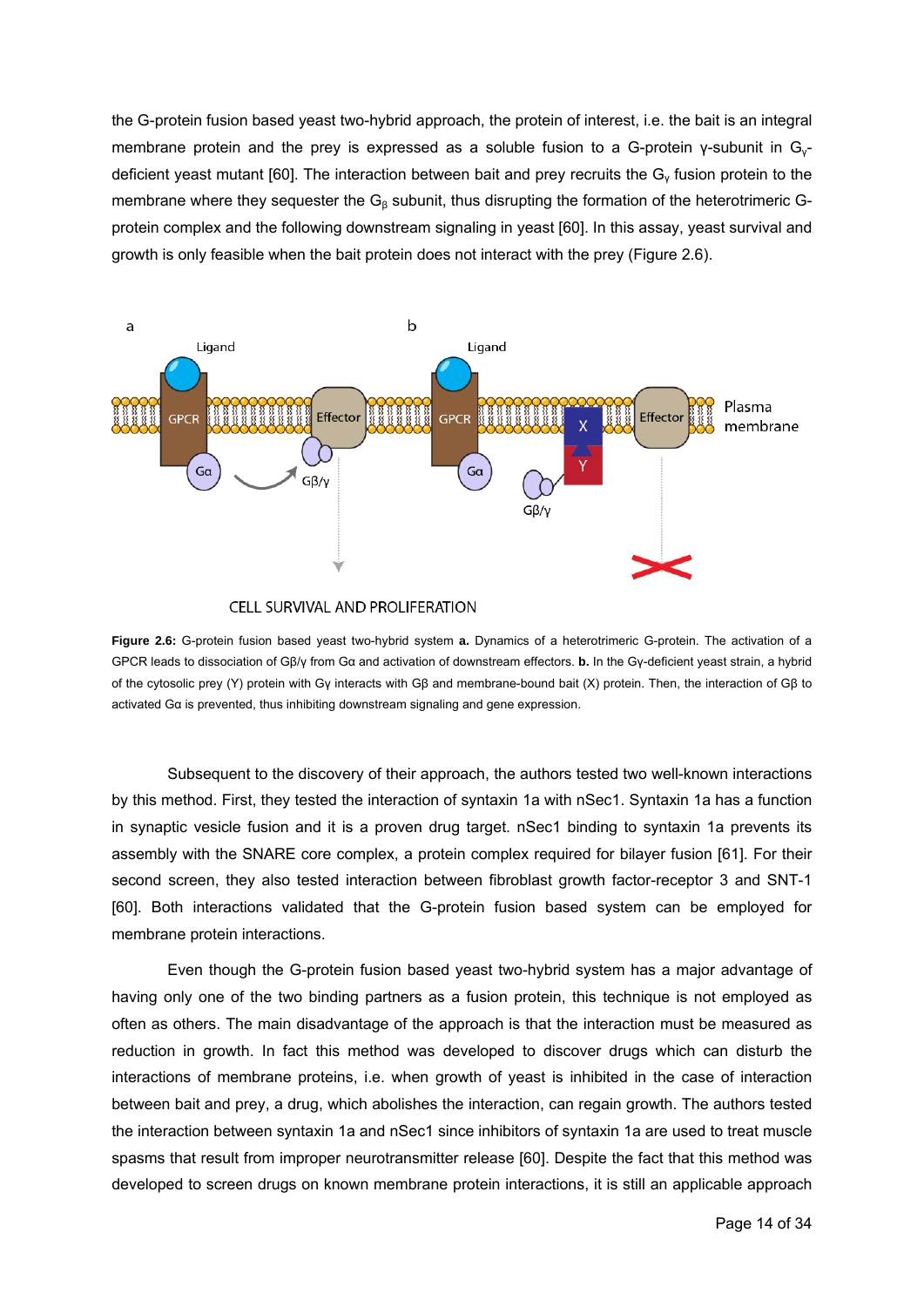the G-protein fusion based yeast two-hybrid approach, the protein of interest, i.e. the bait is an integral membrane protein and the prey is expressed as a soluble fusion to a G-protein γ-subunit in Gγdeficient yeast mutant [60]. The interaction between bait and prey recruits the Gγ fusion protein to the membrane where they sequester the  $G<sub>β</sub>$  subunit, thus disrupting the formation of the heterotrimeric Gprotein complex and the following downstream signaling in yeast [60]. In this assay, yeast survival and growth is only feasible when the bait protein does not interact with the prey (Figure 2.6).



CELL SURVIVAL AND PROLIFERATION

**Figure 2.6:** G-protein fusion based yeast two-hybrid system **a.** Dynamics of a heterotrimeric G-protein. The activation of a GPCR leads to dissociation of Gβ/γ from Gα and activation of downstream effectors. **b.** In the Gγ-deficient yeast strain, a hybrid of the cytosolic prey (Y) protein with Gγ interacts with Gβ and membrane-bound bait (X) protein. Then, the interaction of Gβ to activated Gα is prevented, thus inhibiting downstream signaling and gene expression.

 Subsequent to the discovery of their approach, the authors tested two well-known interactions by this method. First, they tested the interaction of syntaxin 1a with nSec1. Syntaxin 1a has a function in synaptic vesicle fusion and it is a proven drug target. nSec1 binding to syntaxin 1a prevents its assembly with the SNARE core complex, a protein complex required for bilayer fusion [61]. For their second screen, they also tested interaction between fibroblast growth factor-receptor 3 and SNT-1 [60]. Both interactions validated that the G-protein fusion based system can be employed for membrane protein interactions.

 Even though the G-protein fusion based yeast two-hybrid system has a major advantage of having only one of the two binding partners as a fusion protein, this technique is not employed as often as others. The main disadvantage of the approach is that the interaction must be measured as reduction in growth. In fact this method was developed to discover drugs which can disturb the interactions of membrane proteins, i.e. when growth of yeast is inhibited in the case of interaction between bait and prey, a drug, which abolishes the interaction, can regain growth. The authors tested the interaction between syntaxin 1a and nSec1 since inhibitors of syntaxin 1a are used to treat muscle spasms that result from improper neurotransmitter release [60]. Despite the fact that this method was developed to screen drugs on known membrane protein interactions, it is still an applicable approach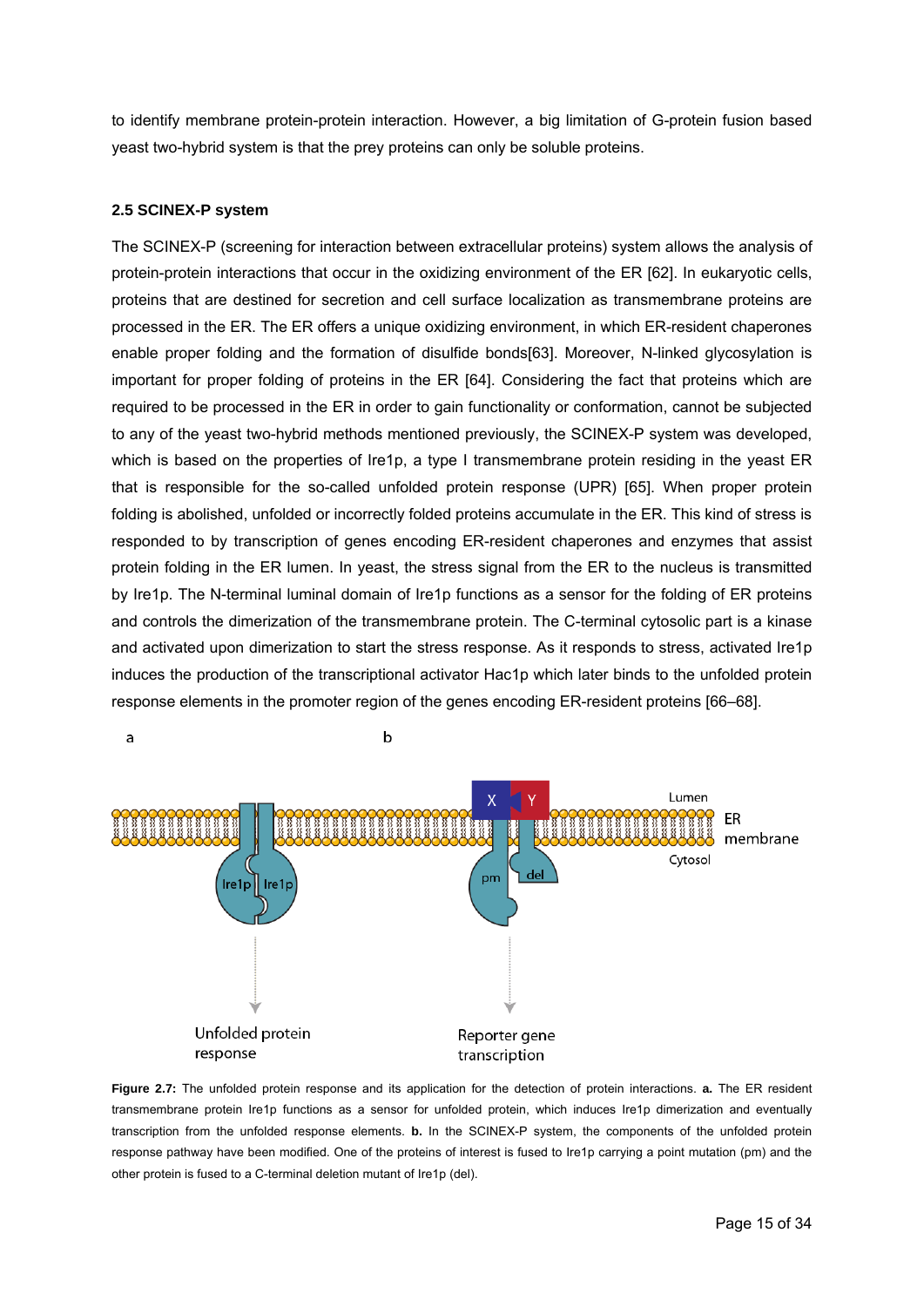to identify membrane protein-protein interaction. However, a big limitation of G-protein fusion based yeast two-hybrid system is that the prey proteins can only be soluble proteins.

# **2.5 SCINEX-P system**

a

The SCINEX-P (screening for interaction between extracellular proteins) system allows the analysis of protein-protein interactions that occur in the oxidizing environment of the ER [62]. In eukaryotic cells, proteins that are destined for secretion and cell surface localization as transmembrane proteins are processed in the ER. The ER offers a unique oxidizing environment, in which ER-resident chaperones enable proper folding and the formation of disulfide bonds[63]. Moreover, N-linked glycosylation is important for proper folding of proteins in the ER [64]. Considering the fact that proteins which are required to be processed in the ER in order to gain functionality or conformation, cannot be subjected to any of the yeast two-hybrid methods mentioned previously, the SCINEX-P system was developed, which is based on the properties of Ire1p, a type I transmembrane protein residing in the yeast ER that is responsible for the so-called unfolded protein response (UPR) [65]. When proper protein folding is abolished, unfolded or incorrectly folded proteins accumulate in the ER. This kind of stress is responded to by transcription of genes encoding ER-resident chaperones and enzymes that assist protein folding in the ER lumen. In yeast, the stress signal from the ER to the nucleus is transmitted by Ire1p. The N-terminal luminal domain of Ire1p functions as a sensor for the folding of ER proteins and controls the dimerization of the transmembrane protein. The C-terminal cytosolic part is a kinase and activated upon dimerization to start the stress response. As it responds to stress, activated Ire1p induces the production of the transcriptional activator Hac1p which later binds to the unfolded protein response elements in the promoter region of the genes encoding ER-resident proteins [66–68].



 $\mathsf b$ 

**Figure 2.7:** The unfolded protein response and its application for the detection of protein interactions. **a.** The ER resident transmembrane protein Ire1p functions as a sensor for unfolded protein, which induces Ire1p dimerization and eventually transcription from the unfolded response elements. **b.** In the SCINEX-P system, the components of the unfolded protein response pathway have been modified. One of the proteins of interest is fused to Ire1p carrying a point mutation (pm) and the other protein is fused to a C-terminal deletion mutant of Ire1p (del).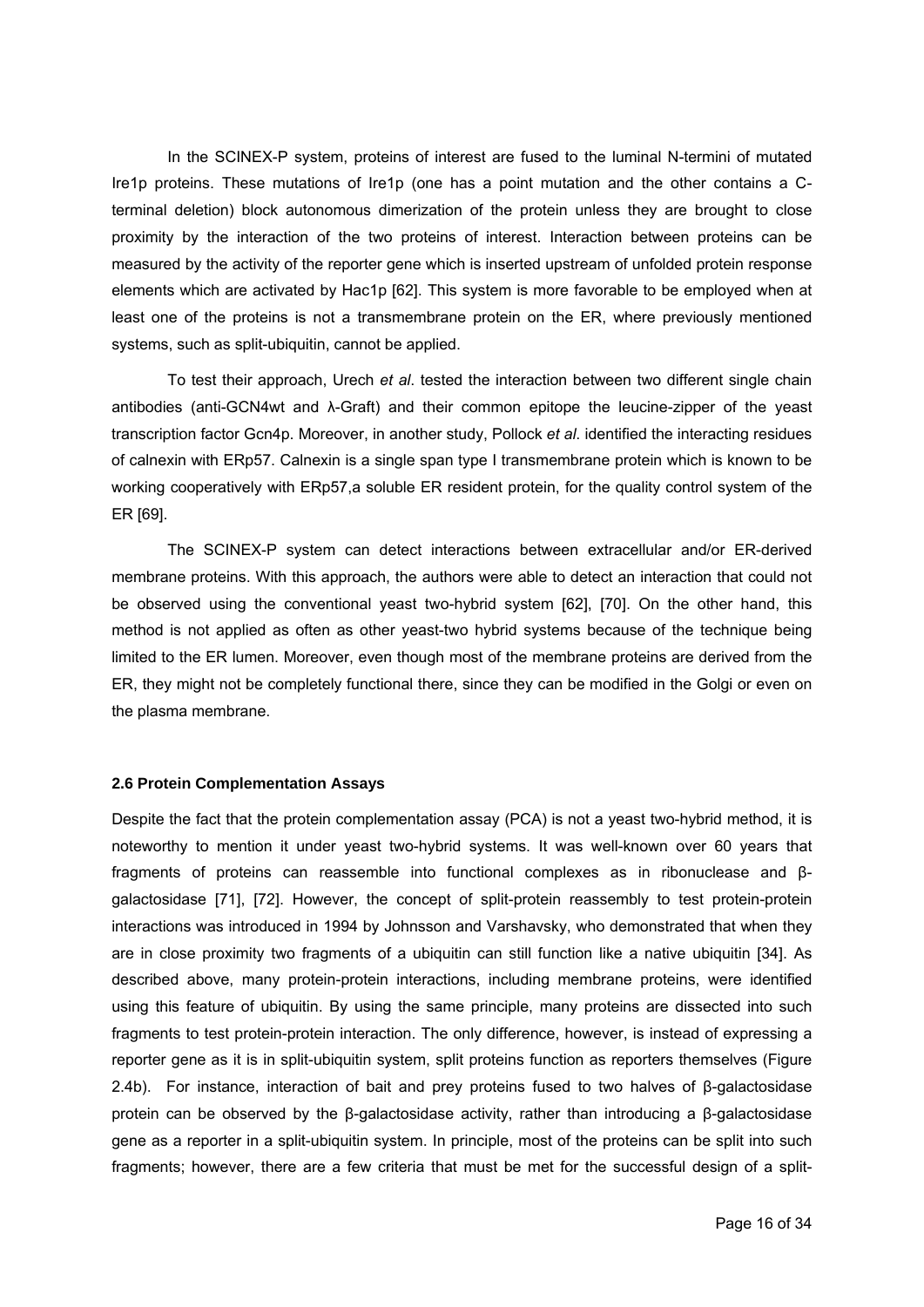In the SCINEX-P system, proteins of interest are fused to the luminal N-termini of mutated Ire1p proteins. These mutations of Ire1p (one has a point mutation and the other contains a Cterminal deletion) block autonomous dimerization of the protein unless they are brought to close proximity by the interaction of the two proteins of interest. Interaction between proteins can be measured by the activity of the reporter gene which is inserted upstream of unfolded protein response elements which are activated by Hac1p [62]. This system is more favorable to be employed when at least one of the proteins is not a transmembrane protein on the ER, where previously mentioned systems, such as split-ubiquitin, cannot be applied.

 To test their approach, Urech *et al*. tested the interaction between two different single chain antibodies (anti-GCN4wt and λ-Graft) and their common epitope the leucine-zipper of the yeast transcription factor Gcn4p. Moreover, in another study, Pollock *et al*. identified the interacting residues of calnexin with ERp57. Calnexin is a single span type I transmembrane protein which is known to be working cooperatively with ERp57,a soluble ER resident protein, for the quality control system of the ER [69].

 The SCINEX-P system can detect interactions between extracellular and/or ER-derived membrane proteins. With this approach, the authors were able to detect an interaction that could not be observed using the conventional yeast two-hybrid system [62], [70]. On the other hand, this method is not applied as often as other yeast-two hybrid systems because of the technique being limited to the ER lumen. Moreover, even though most of the membrane proteins are derived from the ER, they might not be completely functional there, since they can be modified in the Golgi or even on the plasma membrane.

#### **2.6 Protein Complementation Assays**

Despite the fact that the protein complementation assay (PCA) is not a yeast two-hybrid method, it is noteworthy to mention it under yeast two-hybrid systems. It was well-known over 60 years that fragments of proteins can reassemble into functional complexes as in ribonuclease and βgalactosidase [71], [72]. However, the concept of split-protein reassembly to test protein-protein interactions was introduced in 1994 by Johnsson and Varshavsky, who demonstrated that when they are in close proximity two fragments of a ubiquitin can still function like a native ubiquitin [34]. As described above, many protein-protein interactions, including membrane proteins, were identified using this feature of ubiquitin. By using the same principle, many proteins are dissected into such fragments to test protein-protein interaction. The only difference, however, is instead of expressing a reporter gene as it is in split-ubiquitin system, split proteins function as reporters themselves (Figure 2.4b). For instance, interaction of bait and prey proteins fused to two halves of β-galactosidase protein can be observed by the β-galactosidase activity, rather than introducing a β-galactosidase gene as a reporter in a split-ubiquitin system. In principle, most of the proteins can be split into such fragments; however, there are a few criteria that must be met for the successful design of a split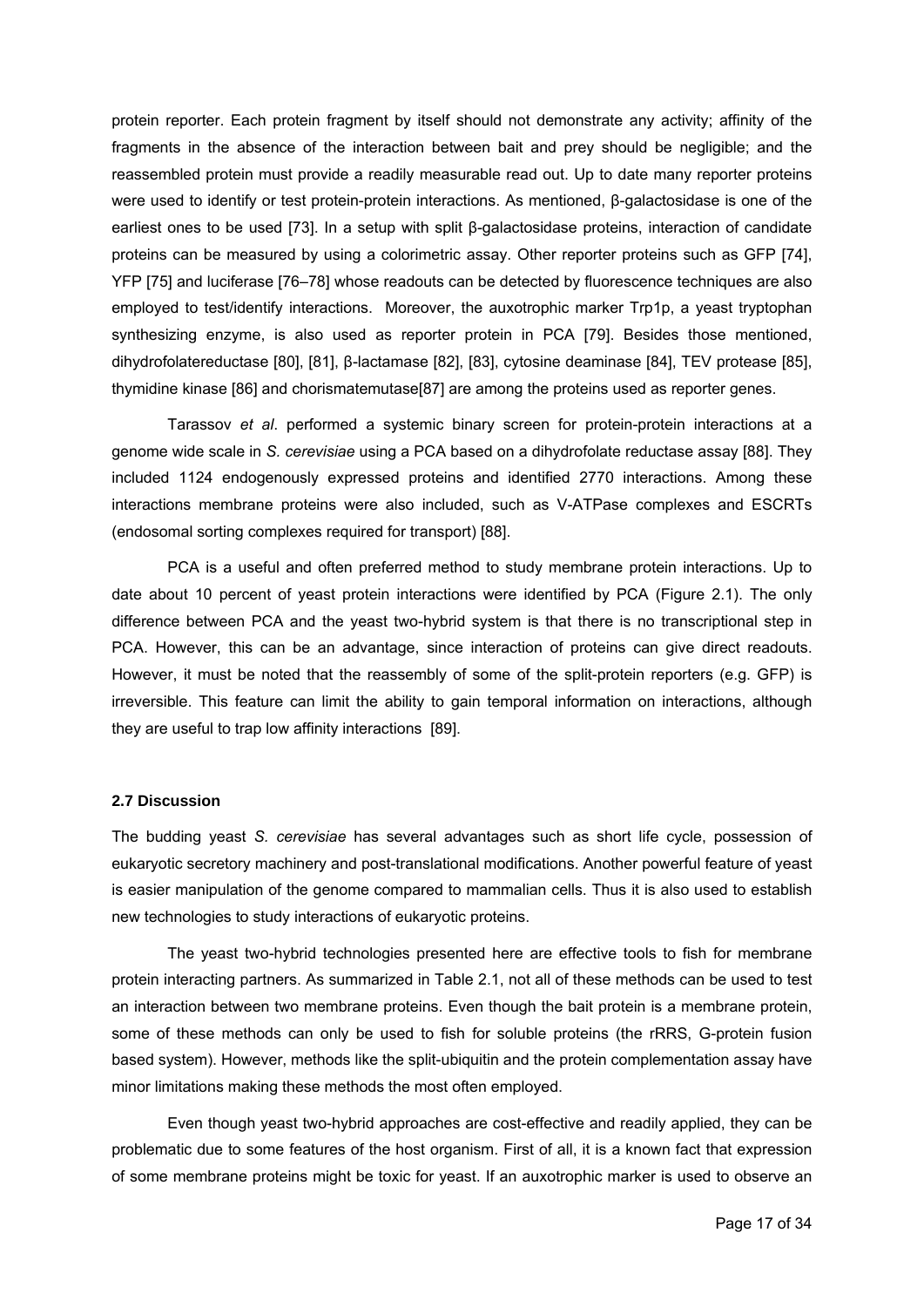protein reporter. Each protein fragment by itself should not demonstrate any activity; affinity of the fragments in the absence of the interaction between bait and prey should be negligible; and the reassembled protein must provide a readily measurable read out. Up to date many reporter proteins were used to identify or test protein-protein interactions. As mentioned, β-galactosidase is one of the earliest ones to be used [73]. In a setup with split β-galactosidase proteins, interaction of candidate proteins can be measured by using a colorimetric assay. Other reporter proteins such as GFP [74], YFP [75] and luciferase [76–78] whose readouts can be detected by fluorescence techniques are also employed to test/identify interactions. Moreover, the auxotrophic marker Trp1p, a yeast tryptophan synthesizing enzyme, is also used as reporter protein in PCA [79]. Besides those mentioned, dihydrofolatereductase [80], [81], β-lactamase [82], [83], cytosine deaminase [84], TEV protease [85], thymidine kinase [86] and chorismatemutase[87] are among the proteins used as reporter genes.

 Tarassov *et al*. performed a systemic binary screen for protein-protein interactions at a genome wide scale in *S. cerevisiae* using a PCA based on a dihydrofolate reductase assay [88]. They included 1124 endogenously expressed proteins and identified 2770 interactions. Among these interactions membrane proteins were also included, such as V-ATPase complexes and ESCRTs (endosomal sorting complexes required for transport) [88].

 PCA is a useful and often preferred method to study membrane protein interactions. Up to date about 10 percent of yeast protein interactions were identified by PCA (Figure 2.1). The only difference between PCA and the yeast two-hybrid system is that there is no transcriptional step in PCA. However, this can be an advantage, since interaction of proteins can give direct readouts. However, it must be noted that the reassembly of some of the split-protein reporters (e.g. GFP) is irreversible. This feature can limit the ability to gain temporal information on interactions, although they are useful to trap low affinity interactions [89].

#### **2.7 Discussion**

The budding yeast *S. cerevisiae* has several advantages such as short life cycle, possession of eukaryotic secretory machinery and post-translational modifications. Another powerful feature of yeast is easier manipulation of the genome compared to mammalian cells. Thus it is also used to establish new technologies to study interactions of eukaryotic proteins.

The yeast two-hybrid technologies presented here are effective tools to fish for membrane protein interacting partners. As summarized in Table 2.1, not all of these methods can be used to test an interaction between two membrane proteins. Even though the bait protein is a membrane protein, some of these methods can only be used to fish for soluble proteins (the rRRS, G-protein fusion based system). However, methods like the split-ubiquitin and the protein complementation assay have minor limitations making these methods the most often employed.

 Even though yeast two-hybrid approaches are cost-effective and readily applied, they can be problematic due to some features of the host organism. First of all, it is a known fact that expression of some membrane proteins might be toxic for yeast. If an auxotrophic marker is used to observe an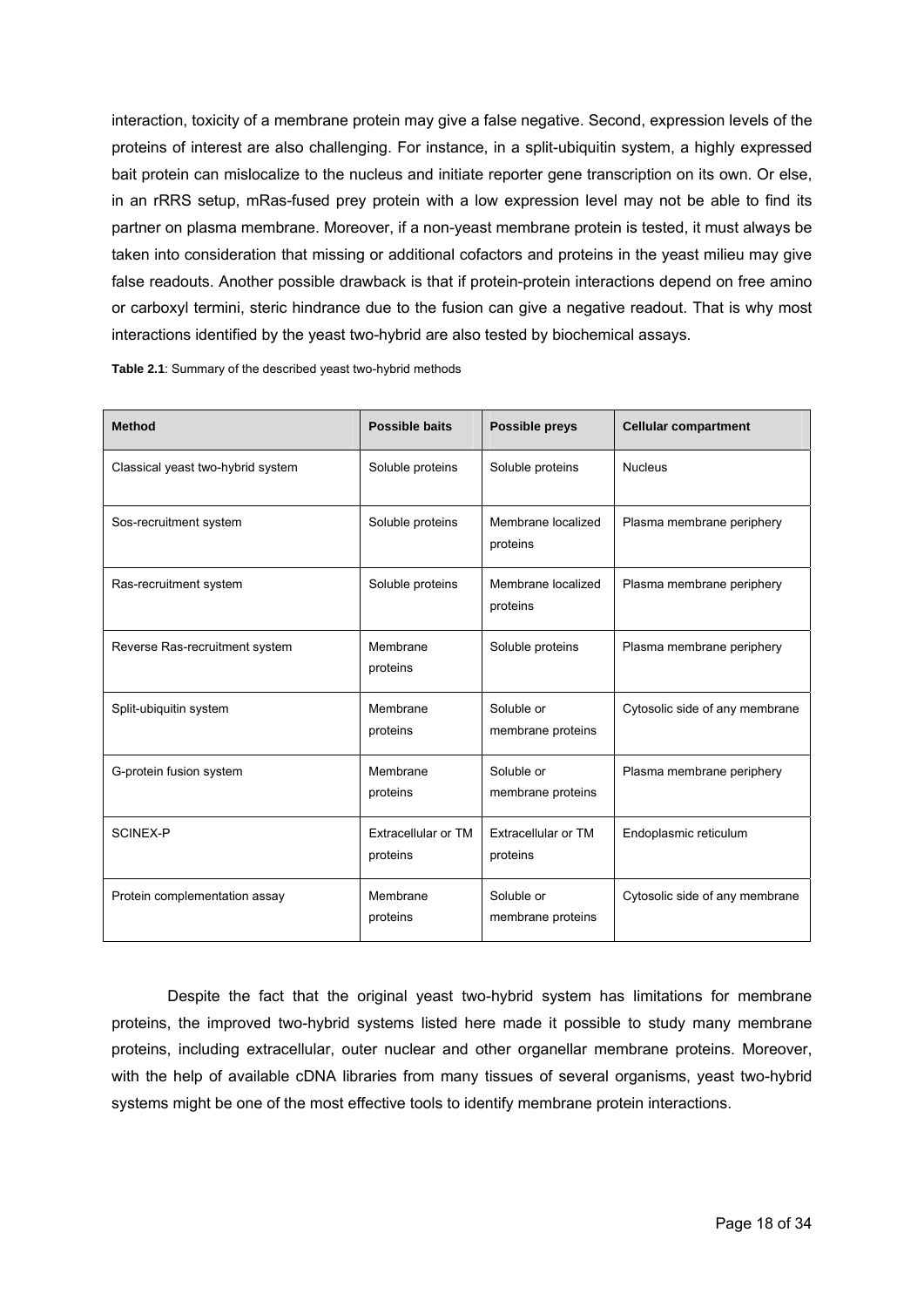interaction, toxicity of a membrane protein may give a false negative. Second, expression levels of the proteins of interest are also challenging. For instance, in a split-ubiquitin system, a highly expressed bait protein can mislocalize to the nucleus and initiate reporter gene transcription on its own. Or else, in an rRRS setup, mRas-fused prey protein with a low expression level may not be able to find its partner on plasma membrane. Moreover, if a non-yeast membrane protein is tested, it must always be taken into consideration that missing or additional cofactors and proteins in the yeast milieu may give false readouts. Another possible drawback is that if protein-protein interactions depend on free amino or carboxyl termini, steric hindrance due to the fusion can give a negative readout. That is why most interactions identified by the yeast two-hybrid are also tested by biochemical assays.

| <b>Method</b>                     | <b>Possible baits</b>           | Possible preys                  | <b>Cellular compartment</b>    |
|-----------------------------------|---------------------------------|---------------------------------|--------------------------------|
| Classical yeast two-hybrid system | Soluble proteins                | Soluble proteins                | <b>Nucleus</b>                 |
| Sos-recruitment system            | Soluble proteins                | Membrane localized<br>proteins  | Plasma membrane periphery      |
| Ras-recruitment system            | Soluble proteins                | Membrane localized<br>proteins  | Plasma membrane periphery      |
| Reverse Ras-recruitment system    | Membrane<br>proteins            | Soluble proteins                | Plasma membrane periphery      |
| Split-ubiquitin system            | Membrane<br>proteins            | Soluble or<br>membrane proteins | Cytosolic side of any membrane |
| G-protein fusion system           | Membrane<br>proteins            | Soluble or<br>membrane proteins | Plasma membrane periphery      |
| <b>SCINEX-P</b>                   | Extracellular or TM<br>proteins | Extracellular or TM<br>proteins | Endoplasmic reticulum          |
| Protein complementation assay     | Membrane<br>proteins            | Soluble or<br>membrane proteins | Cytosolic side of any membrane |

**Table 2.1**: Summary of the described yeast two-hybrid methods

 Despite the fact that the original yeast two-hybrid system has limitations for membrane proteins, the improved two-hybrid systems listed here made it possible to study many membrane proteins, including extracellular, outer nuclear and other organellar membrane proteins. Moreover, with the help of available cDNA libraries from many tissues of several organisms, yeast two-hybrid systems might be one of the most effective tools to identify membrane protein interactions.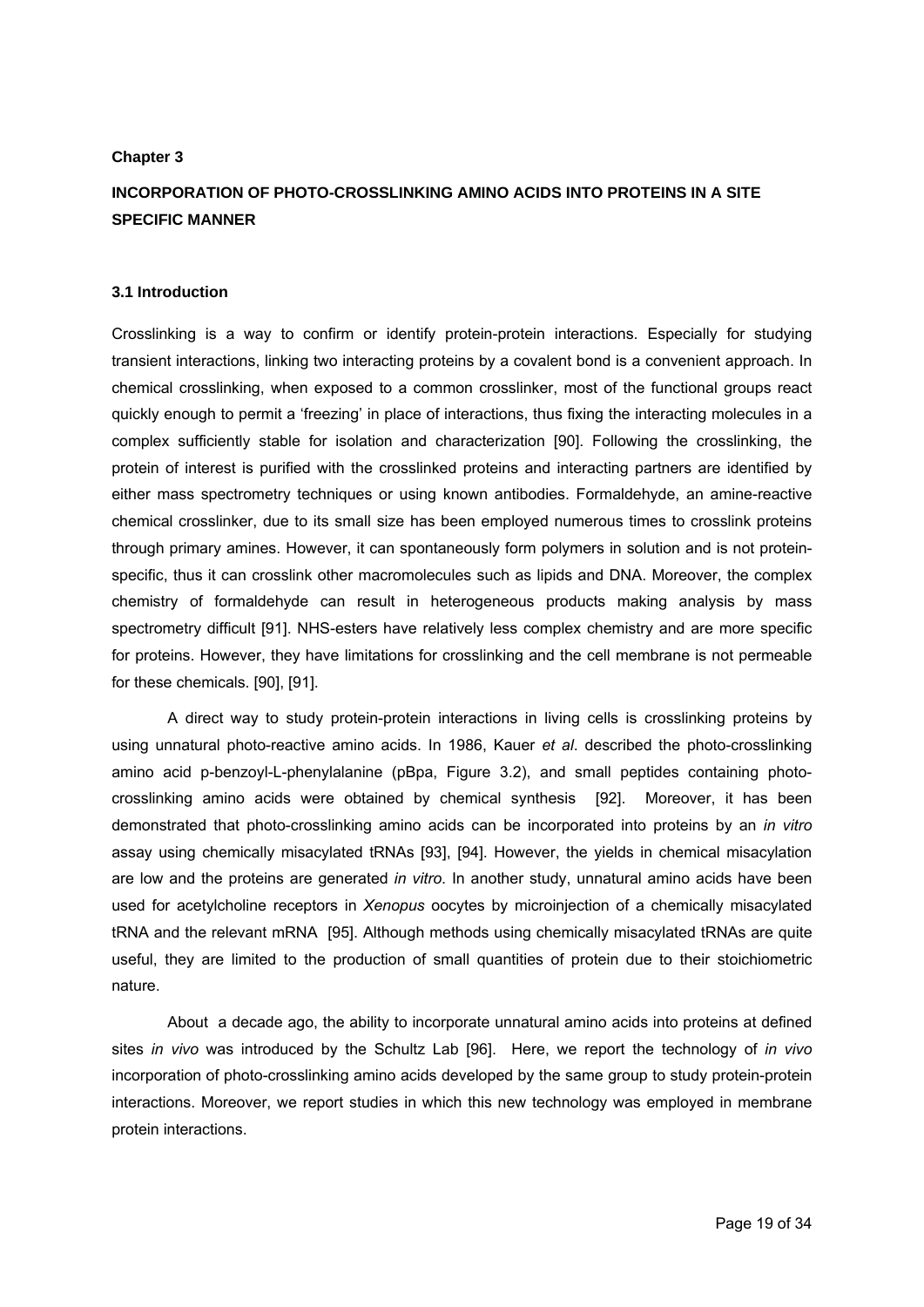# **Chapter 3**

# **INCORPORATION OF PHOTO-CROSSLINKING AMINO ACIDS INTO PROTEINS IN A SITE SPECIFIC MANNER**

# **3.1 Introduction**

Crosslinking is a way to confirm or identify protein-protein interactions. Especially for studying transient interactions, linking two interacting proteins by a covalent bond is a convenient approach. In chemical crosslinking, when exposed to a common crosslinker, most of the functional groups react quickly enough to permit a 'freezing' in place of interactions, thus fixing the interacting molecules in a complex sufficiently stable for isolation and characterization [90]. Following the crosslinking, the protein of interest is purified with the crosslinked proteins and interacting partners are identified by either mass spectrometry techniques or using known antibodies. Formaldehyde, an amine-reactive chemical crosslinker, due to its small size has been employed numerous times to crosslink proteins through primary amines. However, it can spontaneously form polymers in solution and is not proteinspecific, thus it can crosslink other macromolecules such as lipids and DNA. Moreover, the complex chemistry of formaldehyde can result in heterogeneous products making analysis by mass spectrometry difficult [91]. NHS-esters have relatively less complex chemistry and are more specific for proteins. However, they have limitations for crosslinking and the cell membrane is not permeable for these chemicals. [90], [91].

A direct way to study protein-protein interactions in living cells is crosslinking proteins by using unnatural photo-reactive amino acids. In 1986, Kauer *et al*. described the photo-crosslinking amino acid p-benzoyl-L-phenylalanine (pBpa, Figure 3.2), and small peptides containing photocrosslinking amino acids were obtained by chemical synthesis [92]. Moreover, it has been demonstrated that photo-crosslinking amino acids can be incorporated into proteins by an *in vitro* assay using chemically misacylated tRNAs [93], [94]. However, the yields in chemical misacylation are low and the proteins are generated *in vitro*. In another study, unnatural amino acids have been used for acetylcholine receptors in *Xenopus* oocytes by microinjection of a chemically misacylated tRNA and the relevant mRNA [95]. Although methods using chemically misacylated tRNAs are quite useful, they are limited to the production of small quantities of protein due to their stoichiometric nature.

About a decade ago, the ability to incorporate unnatural amino acids into proteins at defined sites *in vivo* was introduced by the Schultz Lab [96]. Here, we report the technology of *in vivo* incorporation of photo-crosslinking amino acids developed by the same group to study protein-protein interactions. Moreover, we report studies in which this new technology was employed in membrane protein interactions.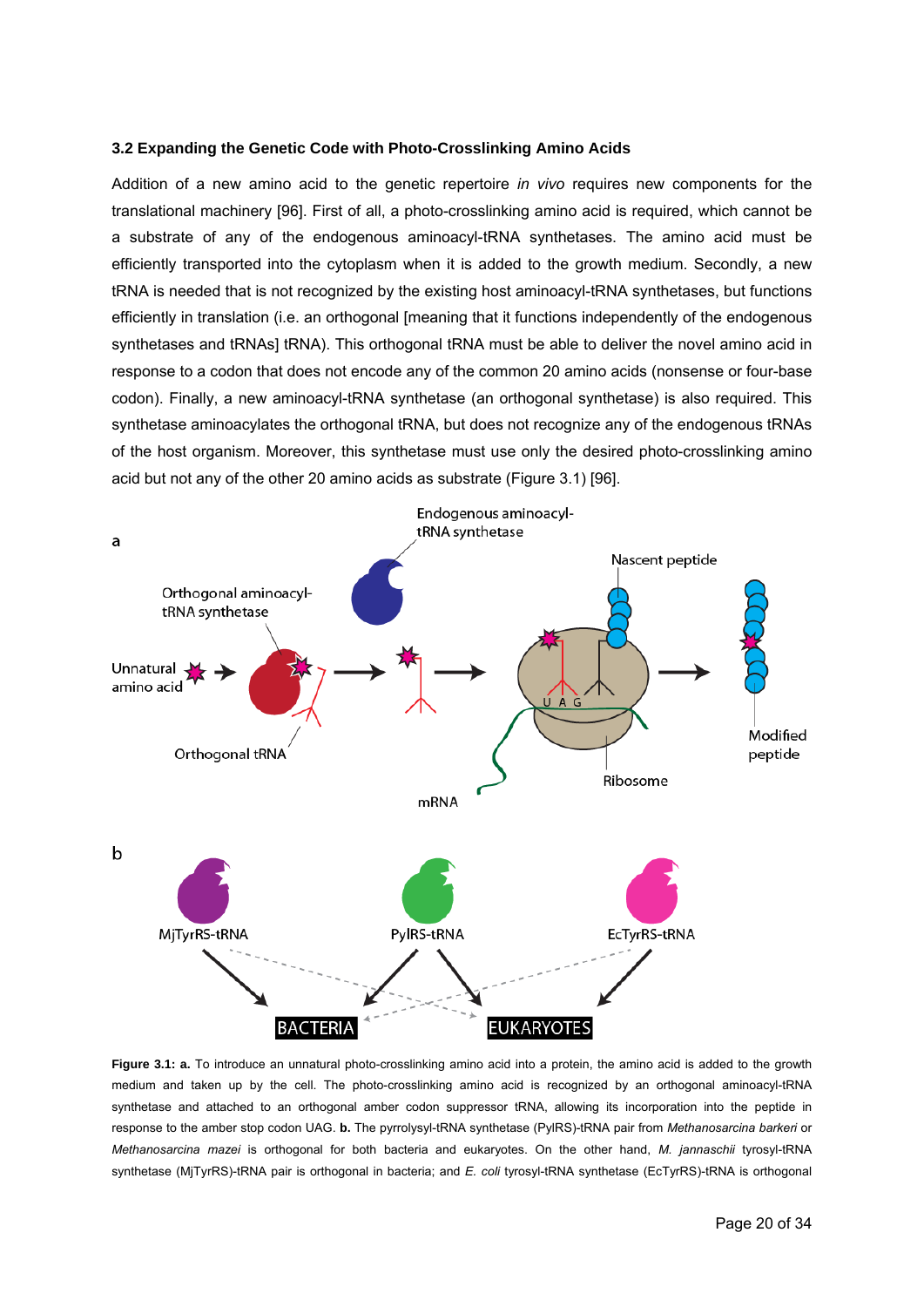#### **3.2 Expanding the Genetic Code with Photo-Crosslinking Amino Acids**

Addition of a new amino acid to the genetic repertoire *in vivo* requires new components for the translational machinery [96]. First of all, a photo-crosslinking amino acid is required, which cannot be a substrate of any of the endogenous aminoacyl-tRNA synthetases. The amino acid must be efficiently transported into the cytoplasm when it is added to the growth medium. Secondly, a new tRNA is needed that is not recognized by the existing host aminoacyl-tRNA synthetases, but functions efficiently in translation (i.e. an orthogonal [meaning that it functions independently of the endogenous synthetases and tRNAs] tRNA). This orthogonal tRNA must be able to deliver the novel amino acid in response to a codon that does not encode any of the common 20 amino acids (nonsense or four-base codon). Finally, a new aminoacyl-tRNA synthetase (an orthogonal synthetase) is also required. This synthetase aminoacylates the orthogonal tRNA, but does not recognize any of the endogenous tRNAs of the host organism. Moreover, this synthetase must use only the desired photo-crosslinking amino acid but not any of the other 20 amino acids as substrate (Figure 3.1) [96].



**Figure 3.1: a.** To introduce an unnatural photo-crosslinking amino acid into a protein, the amino acid is added to the growth medium and taken up by the cell. The photo-crosslinking amino acid is recognized by an orthogonal aminoacyl-tRNA synthetase and attached to an orthogonal amber codon suppressor tRNA, allowing its incorporation into the peptide in response to the amber stop codon UAG. **b.** The pyrrolysyl-tRNA synthetase (PylRS)-tRNA pair from *Methanosarcina barkeri* or *Methanosarcina mazei* is orthogonal for both bacteria and eukaryotes. On the other hand, *M. jannaschii* tyrosyl-tRNA synthetase (MjTyrRS)-tRNA pair is orthogonal in bacteria; and *E. coli* tyrosyl-tRNA synthetase (EcTyrRS)-tRNA is orthogonal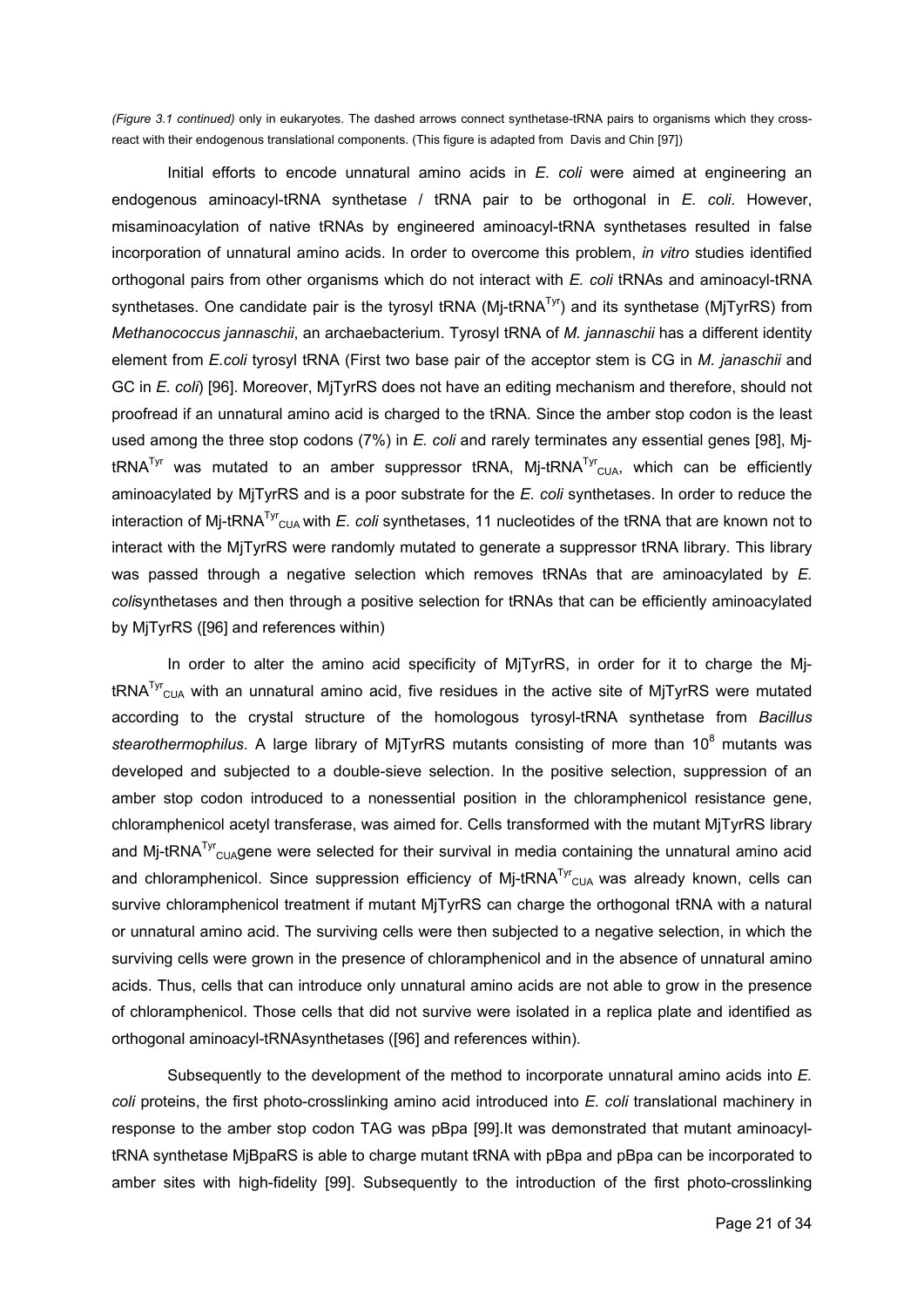*(Figure 3.1 continued)* only in eukaryotes. The dashed arrows connect synthetase-tRNA pairs to organisms which they crossreact with their endogenous translational components. (This figure is adapted from Davis and Chin [97])

Initial efforts to encode unnatural amino acids in *E. coli* were aimed at engineering an endogenous aminoacyl-tRNA synthetase / tRNA pair to be orthogonal in *E. coli*. However, misaminoacylation of native tRNAs by engineered aminoacyl-tRNA synthetases resulted in false incorporation of unnatural amino acids. In order to overcome this problem, *in vitro* studies identified orthogonal pairs from other organisms which do not interact with *E. coli* tRNAs and aminoacyl-tRNA synthetases. One candidate pair is the tyrosyl tRNA ( $M$ j-tRNA<sup>Tyr</sup>) and its synthetase ( $M$ jTyrRS) from *Methanococcus jannaschii*, an archaebacterium. Tyrosyl tRNA of *M. jannaschii* has a different identity element from *E.coli* tyrosyl tRNA (First two base pair of the acceptor stem is CG in *M. janaschii* and GC in *E. coli*) [96]. Moreover, MjTyrRS does not have an editing mechanism and therefore, should not proofread if an unnatural amino acid is charged to the tRNA. Since the amber stop codon is the least used among the three stop codons (7%) in *E. coli* and rarely terminates any essential genes [98], MjtRNA<sup>Tyr</sup> was mutated to an amber suppressor tRNA, Mj-tRNA<sup>Tyr</sup><sub>CUA</sub>, which can be efficiently aminoacylated by MjTyrRS and is a poor substrate for the *E. coli* synthetases. In order to reduce the interaction of Mj-tRNA<sup>Tyr</sup><sub>CUA</sub> with *E. coli* synthetases, 11 nucleotides of the tRNA that are known not to interact with the MjTyrRS were randomly mutated to generate a suppressor tRNA library. This library was passed through a negative selection which removes tRNAs that are aminoacylated by *E. coli*synthetases and then through a positive selection for tRNAs that can be efficiently aminoacylated by MjTyrRS ([96] and references within)

In order to alter the amino acid specificity of MiTyrRS, in order for it to charge the MitRNA<sup>Tyr</sup><sub>CUA</sub> with an unnatural amino acid, five residues in the active site of MjTyrRS were mutated according to the crystal structure of the homologous tyrosyl-tRNA synthetase from *Bacillus*  stearothermophilus. A large library of MjTyrRS mutants consisting of more than 10<sup>8</sup> mutants was developed and subjected to a double-sieve selection. In the positive selection, suppression of an amber stop codon introduced to a nonessential position in the chloramphenicol resistance gene, chloramphenicol acetyl transferase, was aimed for. Cells transformed with the mutant MjTyrRS library and Mj-tRNA<sup>Tyr</sup><sub>CUA</sub>gene were selected for their survival in media containing the unnatural amino acid and chloramphenicol. Since suppression efficiency of Mj-tRNA<sup>Tyr</sup>cu<sub>A</sub> was already known, cells can survive chloramphenicol treatment if mutant MjTyrRS can charge the orthogonal tRNA with a natural or unnatural amino acid. The surviving cells were then subjected to a negative selection, in which the surviving cells were grown in the presence of chloramphenicol and in the absence of unnatural amino acids. Thus, cells that can introduce only unnatural amino acids are not able to grow in the presence of chloramphenicol. Those cells that did not survive were isolated in a replica plate and identified as orthogonal aminoacyl-tRNAsynthetases ([96] and references within).

Subsequently to the development of the method to incorporate unnatural amino acids into *E. coli* proteins, the first photo-crosslinking amino acid introduced into *E. coli* translational machinery in response to the amber stop codon TAG was pBpa [99].It was demonstrated that mutant aminoacyltRNA synthetase MjBpaRS is able to charge mutant tRNA with pBpa and pBpa can be incorporated to amber sites with high-fidelity [99]. Subsequently to the introduction of the first photo-crosslinking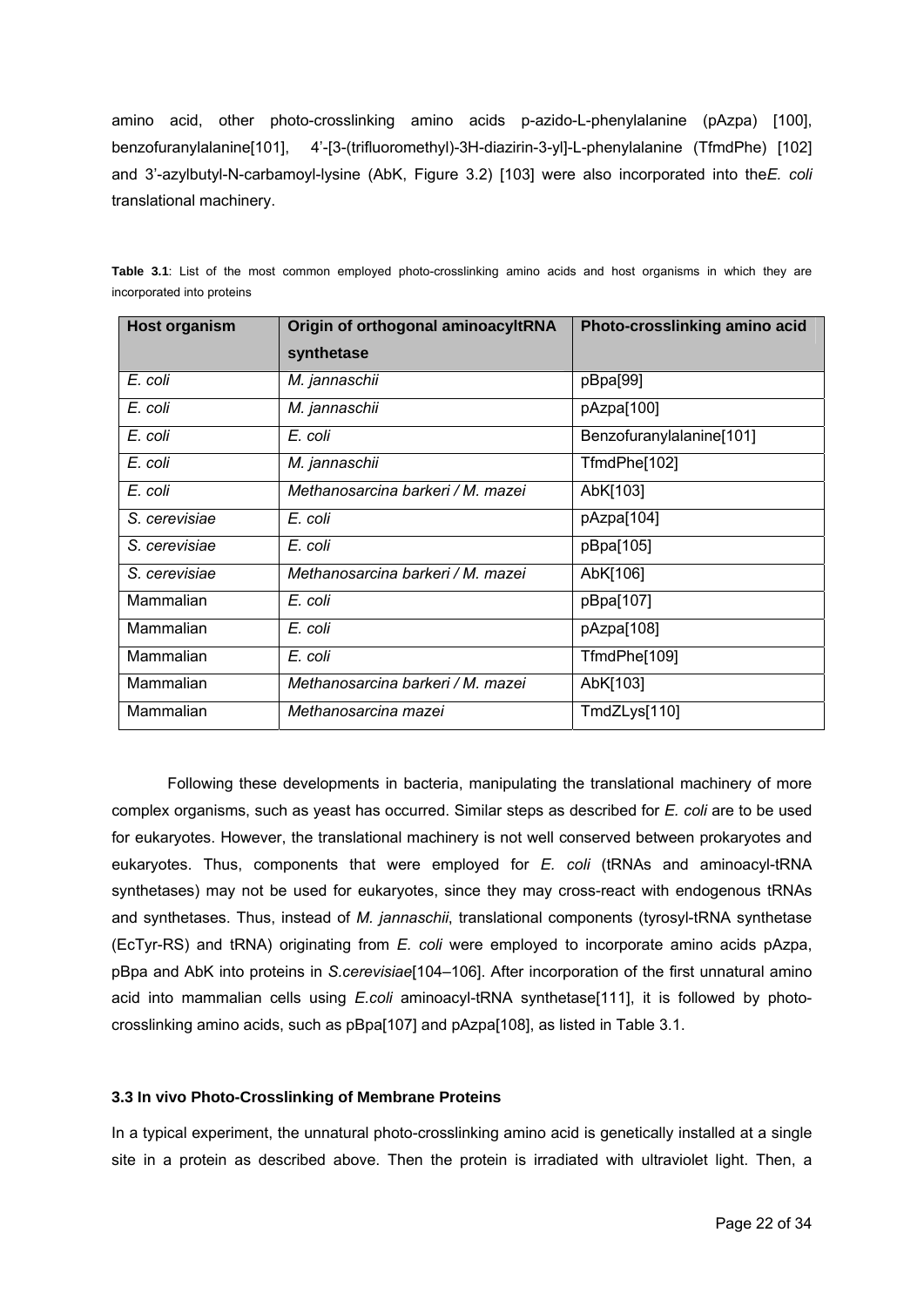amino acid, other photo-crosslinking amino acids p-azido-L-phenylalanine (pAzpa) [100], benzofuranylalanine[101], 4'-[3-(trifluoromethyl)-3H-diazirin-3-yl]-L-phenylalanine (TfmdPhe) [102] and 3'-azylbutyl-N-carbamoyl-lysine (AbK, Figure 3.2) [103] were also incorporated into the*E. coli* translational machinery.

| <b>Host organism</b> | Origin of orthogonal aminoacyltRNA | Photo-crosslinking amino acid |
|----------------------|------------------------------------|-------------------------------|
|                      | synthetase                         |                               |
| E. coli              | M. jannaschii                      | pBpa[99]                      |
| E. coli              | M. jannaschii                      | pAzpa[100]                    |
| E. coli              | E. coli                            | Benzofuranylalanine[101]      |
| E. coli              | M. jannaschii                      | TfmdPhe[102]                  |
| E. coli              | Methanosarcina barkeri / M. mazei  | AbK[103]                      |
| S. cerevisiae        | E. coli                            | pAzpa[104]                    |
| S. cerevisiae        | E. coli                            | pBpa[105]                     |
| S. cerevisiae        | Methanosarcina barkeri / M. mazei  | AbK[106]                      |
| Mammalian            | E. coli                            | pBpa[107]                     |
| Mammalian            | E. coli                            | pAzpa[108]                    |
| Mammalian            | E. coli                            | TfmdPhe[109]                  |
| Mammalian            | Methanosarcina barkeri / M. mazei  | AbK[103]                      |
| Mammalian            | Methanosarcina mazei               | TmdZLys[110]                  |

**Table 3.1**: List of the most common employed photo-crosslinking amino acids and host organisms in which they are incorporated into proteins

 Following these developments in bacteria, manipulating the translational machinery of more complex organisms, such as yeast has occurred. Similar steps as described for *E. coli* are to be used for eukaryotes. However, the translational machinery is not well conserved between prokaryotes and eukaryotes. Thus, components that were employed for *E. coli* (tRNAs and aminoacyl-tRNA synthetases) may not be used for eukaryotes, since they may cross-react with endogenous tRNAs and synthetases. Thus, instead of *M. jannaschii*, translational components (tyrosyl-tRNA synthetase (EcTyr-RS) and tRNA) originating from *E. coli* were employed to incorporate amino acids pAzpa, pBpa and AbK into proteins in *S.cerevisiae*[104–106]. After incorporation of the first unnatural amino acid into mammalian cells using *E.coli* aminoacyl-tRNA synthetase<sup>[111]</sup>, it is followed by photocrosslinking amino acids, such as pBpa[107] and pAzpa[108], as listed in Table 3.1.

## **3.3 In vivo Photo-Crosslinking of Membrane Proteins**

In a typical experiment, the unnatural photo-crosslinking amino acid is genetically installed at a single site in a protein as described above. Then the protein is irradiated with ultraviolet light. Then, a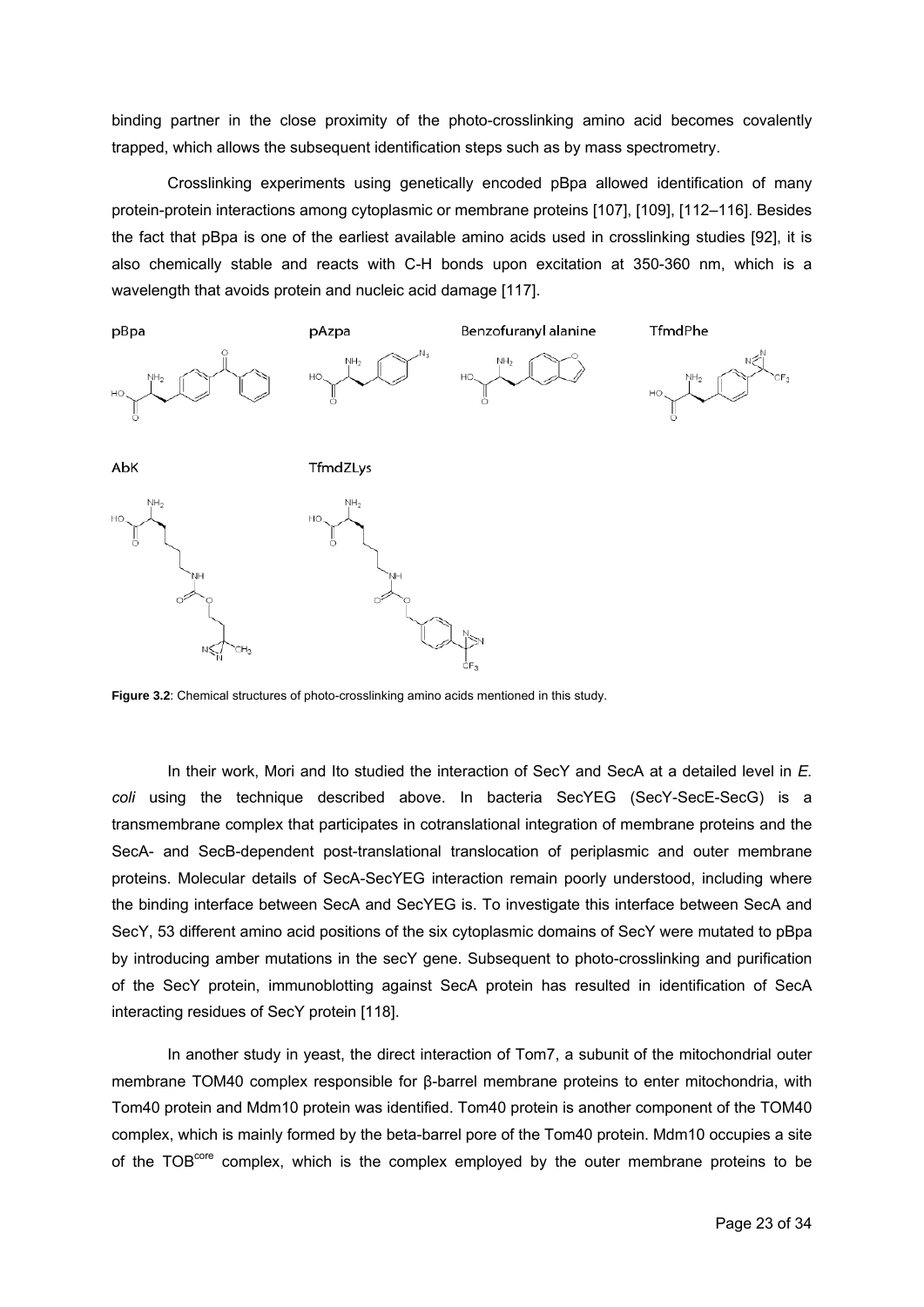binding partner in the close proximity of the photo-crosslinking amino acid becomes covalently trapped, which allows the subsequent identification steps such as by mass spectrometry.

 Crosslinking experiments using genetically encoded pBpa allowed identification of many protein-protein interactions among cytoplasmic or membrane proteins [107], [109], [112–116]. Besides the fact that pBpa is one of the earliest available amino acids used in crosslinking studies [92], it is also chemically stable and reacts with C-H bonds upon excitation at 350-360 nm, which is a wavelength that avoids protein and nucleic acid damage [117].



**Figure 3.2**: Chemical structures of photo-crosslinking amino acids mentioned in this study.

 In their work, Mori and Ito studied the interaction of SecY and SecA at a detailed level in *E. coli* using the technique described above. In bacteria SecYEG (SecY-SecE-SecG) is a transmembrane complex that participates in cotranslational integration of membrane proteins and the SecA- and SecB-dependent post-translational translocation of periplasmic and outer membrane proteins. Molecular details of SecA-SecYEG interaction remain poorly understood, including where the binding interface between SecA and SecYEG is. To investigate this interface between SecA and SecY, 53 different amino acid positions of the six cytoplasmic domains of SecY were mutated to pBpa by introducing amber mutations in the secY gene. Subsequent to photo-crosslinking and purification of the SecY protein, immunoblotting against SecA protein has resulted in identification of SecA interacting residues of SecY protein [118].

 In another study in yeast, the direct interaction of Tom7, a subunit of the mitochondrial outer membrane TOM40 complex responsible for β-barrel membrane proteins to enter mitochondria, with Tom40 protein and Mdm10 protein was identified. Tom40 protein is another component of the TOM40 complex, which is mainly formed by the beta-barrel pore of the Tom40 protein. Mdm10 occupies a site of the TOB<sup>core</sup> complex, which is the complex employed by the outer membrane proteins to be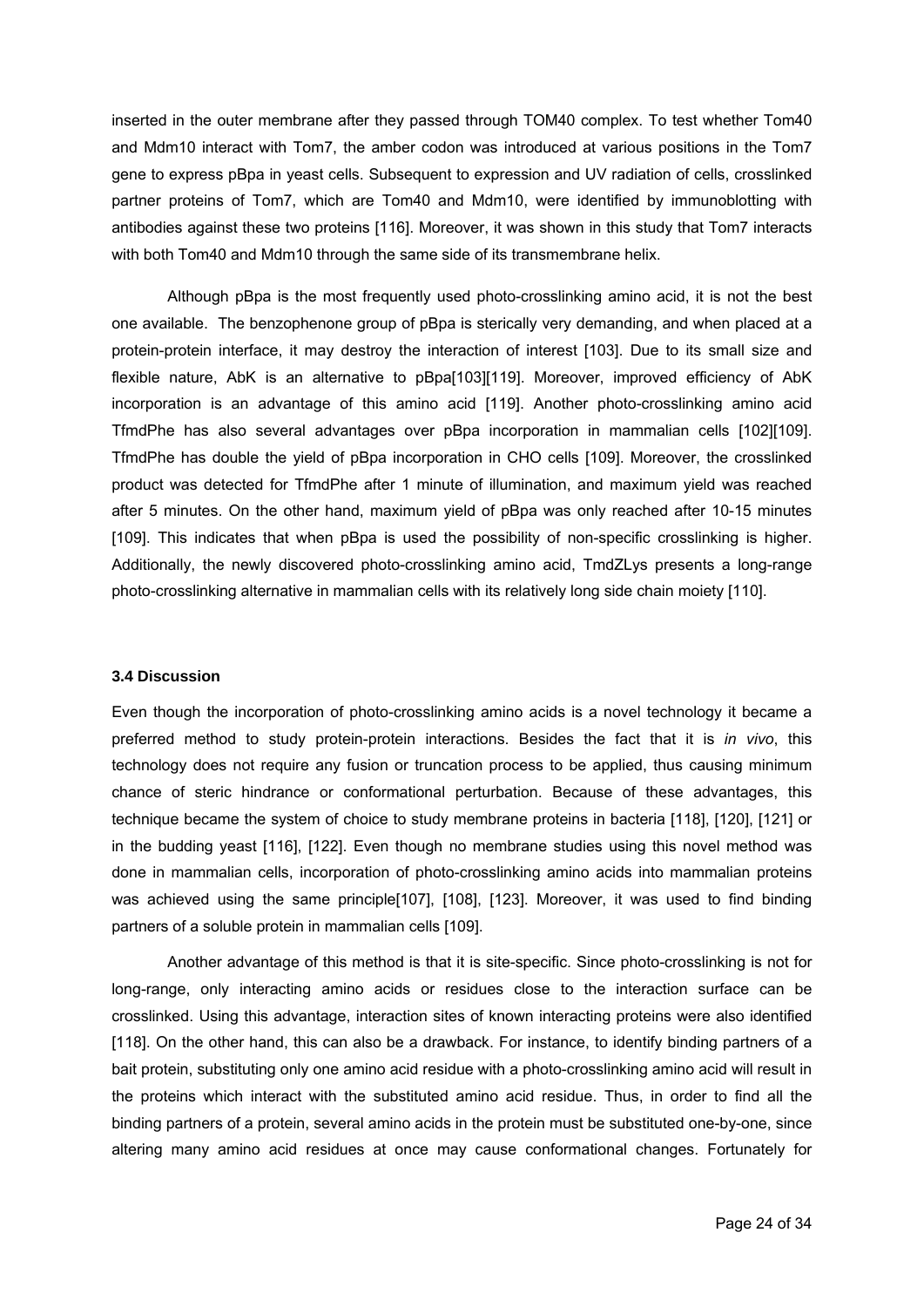inserted in the outer membrane after they passed through TOM40 complex. To test whether Tom40 and Mdm10 interact with Tom7, the amber codon was introduced at various positions in the Tom7 gene to express pBpa in yeast cells. Subsequent to expression and UV radiation of cells, crosslinked partner proteins of Tom7, which are Tom40 and Mdm10, were identified by immunoblotting with antibodies against these two proteins [116]. Moreover, it was shown in this study that Tom7 interacts with both Tom40 and Mdm10 through the same side of its transmembrane helix.

 Although pBpa is the most frequently used photo-crosslinking amino acid, it is not the best one available. The benzophenone group of pBpa is sterically very demanding, and when placed at a protein-protein interface, it may destroy the interaction of interest [103]. Due to its small size and flexible nature, AbK is an alternative to pBpa[103][119]. Moreover, improved efficiency of AbK incorporation is an advantage of this amino acid [119]. Another photo-crosslinking amino acid TfmdPhe has also several advantages over pBpa incorporation in mammalian cells [102][109]. TfmdPhe has double the yield of pBpa incorporation in CHO cells [109]. Moreover, the crosslinked product was detected for TfmdPhe after 1 minute of illumination, and maximum yield was reached after 5 minutes. On the other hand, maximum yield of pBpa was only reached after 10-15 minutes [109]. This indicates that when pBpa is used the possibility of non-specific crosslinking is higher. Additionally, the newly discovered photo-crosslinking amino acid, TmdZLys presents a long-range photo-crosslinking alternative in mammalian cells with its relatively long side chain moiety [110].

#### **3.4 Discussion**

Even though the incorporation of photo-crosslinking amino acids is a novel technology it became a preferred method to study protein-protein interactions. Besides the fact that it is *in vivo*, this technology does not require any fusion or truncation process to be applied, thus causing minimum chance of steric hindrance or conformational perturbation. Because of these advantages, this technique became the system of choice to study membrane proteins in bacteria [118], [120], [121] or in the budding yeast [116], [122]. Even though no membrane studies using this novel method was done in mammalian cells, incorporation of photo-crosslinking amino acids into mammalian proteins was achieved using the same principle[107], [108], [123]. Moreover, it was used to find binding partners of a soluble protein in mammalian cells [109].

 Another advantage of this method is that it is site-specific. Since photo-crosslinking is not for long-range, only interacting amino acids or residues close to the interaction surface can be crosslinked. Using this advantage, interaction sites of known interacting proteins were also identified [118]. On the other hand, this can also be a drawback. For instance, to identify binding partners of a bait protein, substituting only one amino acid residue with a photo-crosslinking amino acid will result in the proteins which interact with the substituted amino acid residue. Thus, in order to find all the binding partners of a protein, several amino acids in the protein must be substituted one-by-one, since altering many amino acid residues at once may cause conformational changes. Fortunately for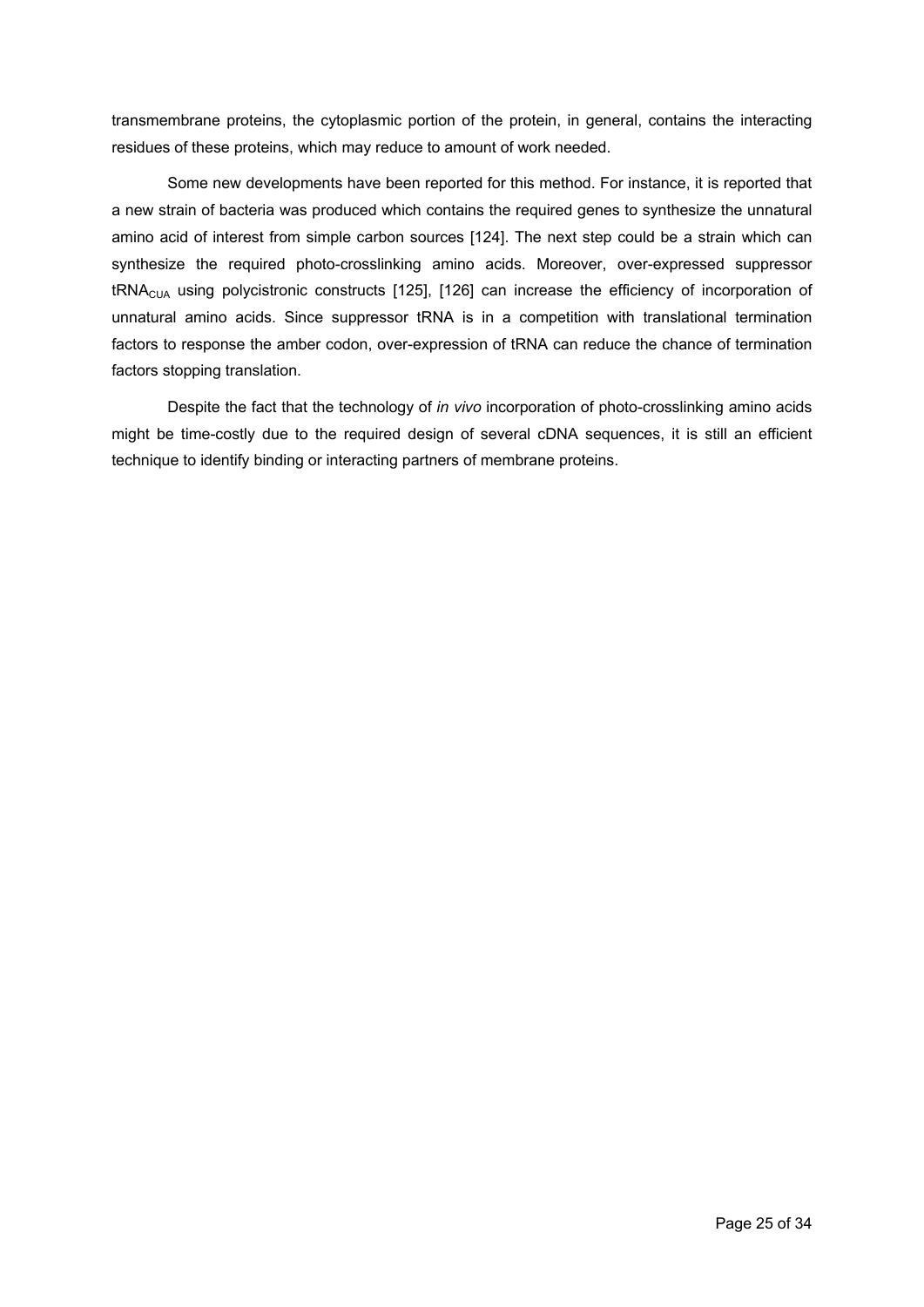transmembrane proteins, the cytoplasmic portion of the protein, in general, contains the interacting residues of these proteins, which may reduce to amount of work needed.

Some new developments have been reported for this method. For instance, it is reported that a new strain of bacteria was produced which contains the required genes to synthesize the unnatural amino acid of interest from simple carbon sources [124]. The next step could be a strain which can synthesize the required photo-crosslinking amino acids. Moreover, over-expressed suppressor tRNACUA using polycistronic constructs [125], [126] can increase the efficiency of incorporation of unnatural amino acids. Since suppressor tRNA is in a competition with translational termination factors to response the amber codon, over-expression of tRNA can reduce the chance of termination factors stopping translation.

Despite the fact that the technology of *in vivo* incorporation of photo-crosslinking amino acids might be time-costly due to the required design of several cDNA sequences, it is still an efficient technique to identify binding or interacting partners of membrane proteins.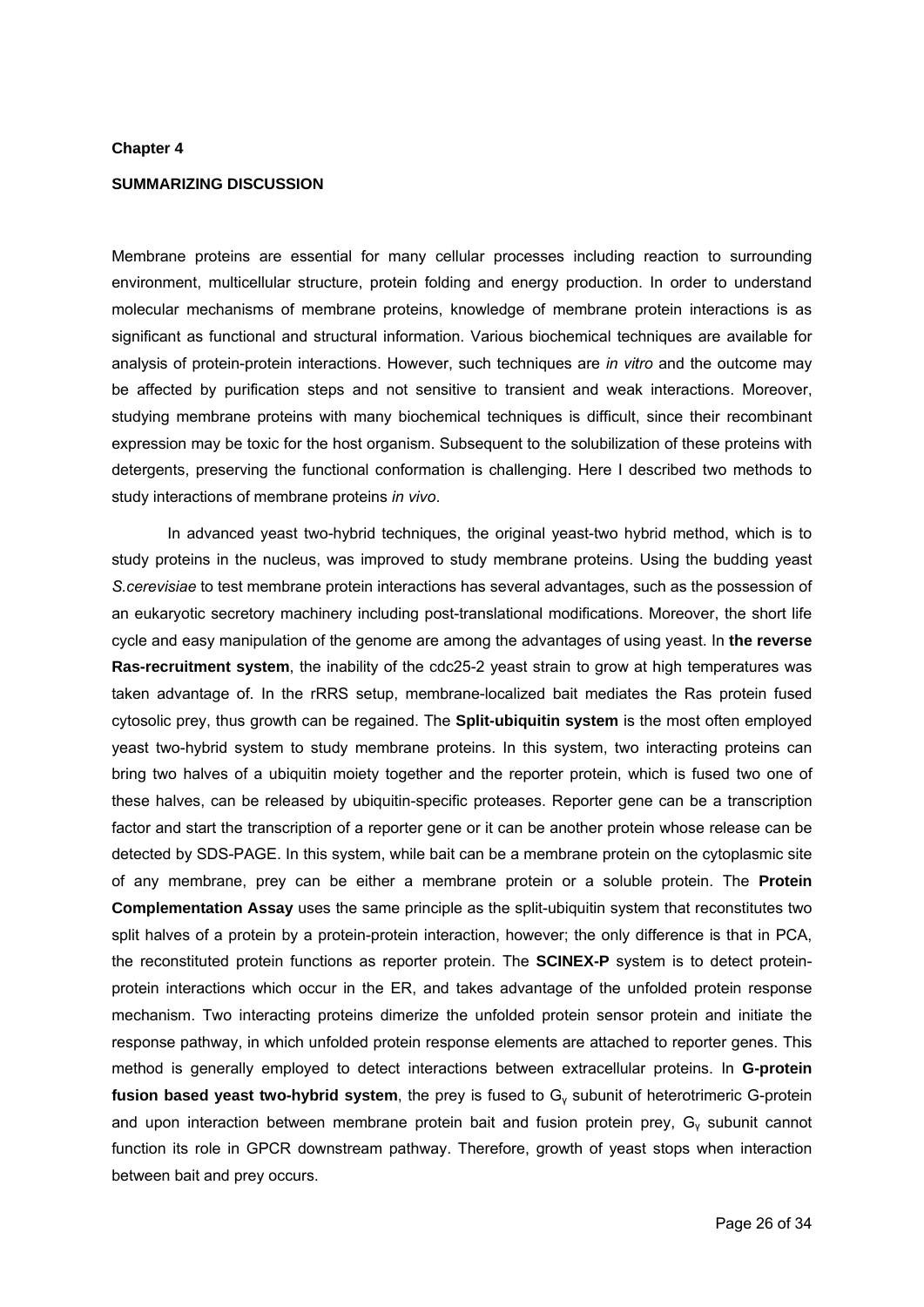#### **Chapter 4**

# **SUMMARIZING DISCUSSION**

Membrane proteins are essential for many cellular processes including reaction to surrounding environment, multicellular structure, protein folding and energy production. In order to understand molecular mechanisms of membrane proteins, knowledge of membrane protein interactions is as significant as functional and structural information. Various biochemical techniques are available for analysis of protein-protein interactions. However, such techniques are *in vitro* and the outcome may be affected by purification steps and not sensitive to transient and weak interactions. Moreover, studying membrane proteins with many biochemical techniques is difficult, since their recombinant expression may be toxic for the host organism. Subsequent to the solubilization of these proteins with detergents, preserving the functional conformation is challenging. Here I described two methods to study interactions of membrane proteins *in vivo*.

In advanced yeast two-hybrid techniques, the original yeast-two hybrid method, which is to study proteins in the nucleus, was improved to study membrane proteins. Using the budding yeast *S.cerevisiae* to test membrane protein interactions has several advantages, such as the possession of an eukaryotic secretory machinery including post-translational modifications. Moreover, the short life cycle and easy manipulation of the genome are among the advantages of using yeast. In **the reverse Ras-recruitment system**, the inability of the cdc25-2 yeast strain to grow at high temperatures was taken advantage of. In the rRRS setup, membrane-localized bait mediates the Ras protein fused cytosolic prey, thus growth can be regained. The **Split-ubiquitin system** is the most often employed yeast two-hybrid system to study membrane proteins. In this system, two interacting proteins can bring two halves of a ubiquitin moiety together and the reporter protein, which is fused two one of these halves, can be released by ubiquitin-specific proteases. Reporter gene can be a transcription factor and start the transcription of a reporter gene or it can be another protein whose release can be detected by SDS-PAGE. In this system, while bait can be a membrane protein on the cytoplasmic site of any membrane, prey can be either a membrane protein or a soluble protein. The **Protein Complementation Assay** uses the same principle as the split-ubiquitin system that reconstitutes two split halves of a protein by a protein-protein interaction, however; the only difference is that in PCA, the reconstituted protein functions as reporter protein. The **SCINEX-P** system is to detect proteinprotein interactions which occur in the ER, and takes advantage of the unfolded protein response mechanism. Two interacting proteins dimerize the unfolded protein sensor protein and initiate the response pathway, in which unfolded protein response elements are attached to reporter genes. This method is generally employed to detect interactions between extracellular proteins. In **G-protein**  fusion based yeast two-hybrid system, the prey is fused to G<sub>y</sub> subunit of heterotrimeric G-protein and upon interaction between membrane protein bait and fusion protein prey,  $G_v$  subunit cannot function its role in GPCR downstream pathway. Therefore, growth of yeast stops when interaction between bait and prey occurs.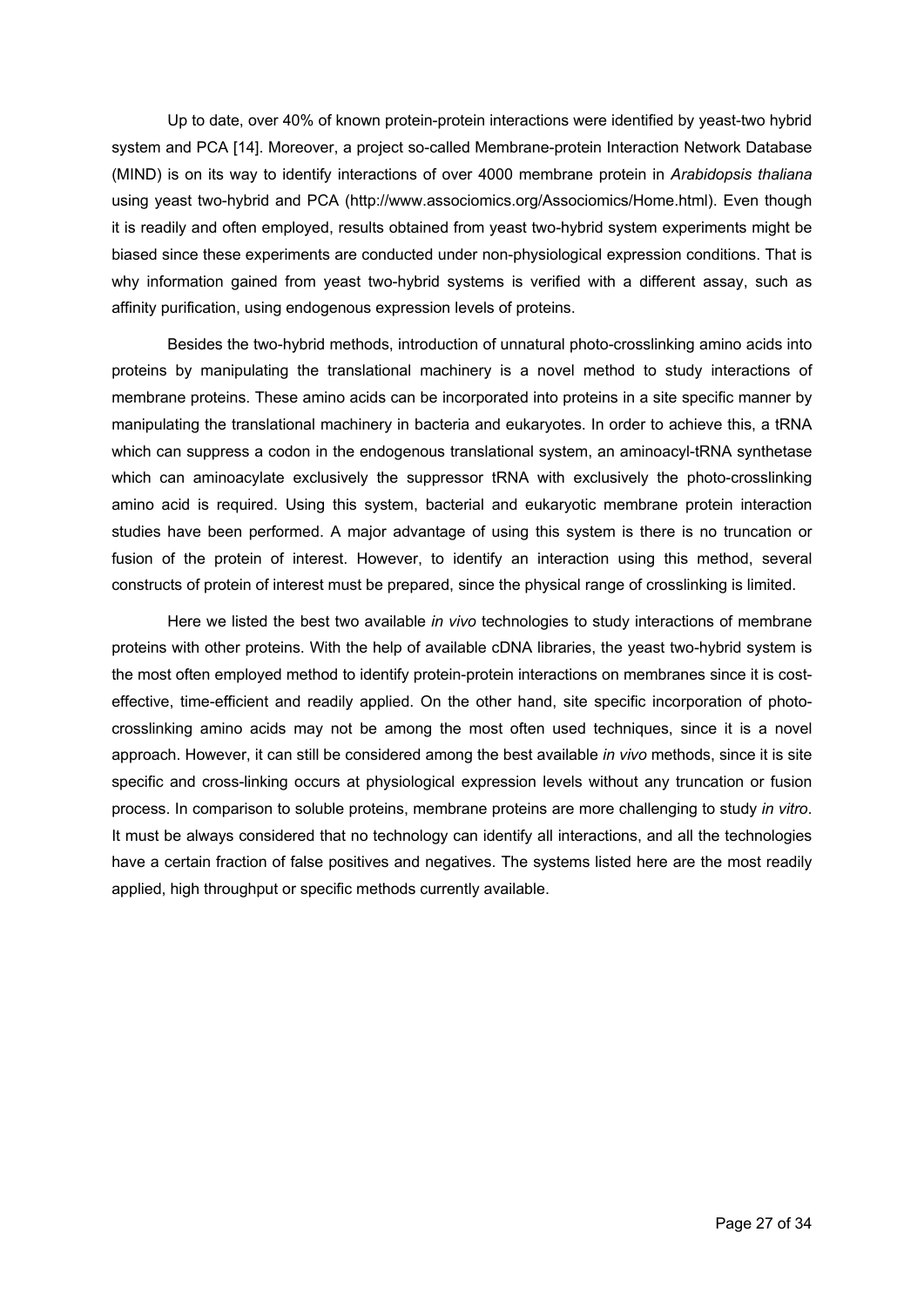Up to date, over 40% of known protein-protein interactions were identified by yeast-two hybrid system and PCA [14]. Moreover, a project so-called Membrane-protein Interaction Network Database (MIND) is on its way to identify interactions of over 4000 membrane protein in *Arabidopsis thaliana*  using yeast two-hybrid and PCA (http://www.associomics.org/Associomics/Home.html). Even though it is readily and often employed, results obtained from yeast two-hybrid system experiments might be biased since these experiments are conducted under non-physiological expression conditions. That is why information gained from yeast two-hybrid systems is verified with a different assay, such as affinity purification, using endogenous expression levels of proteins.

Besides the two-hybrid methods, introduction of unnatural photo-crosslinking amino acids into proteins by manipulating the translational machinery is a novel method to study interactions of membrane proteins. These amino acids can be incorporated into proteins in a site specific manner by manipulating the translational machinery in bacteria and eukaryotes. In order to achieve this, a tRNA which can suppress a codon in the endogenous translational system, an aminoacyl-tRNA synthetase which can aminoacylate exclusively the suppressor tRNA with exclusively the photo-crosslinking amino acid is required. Using this system, bacterial and eukaryotic membrane protein interaction studies have been performed. A major advantage of using this system is there is no truncation or fusion of the protein of interest. However, to identify an interaction using this method, several constructs of protein of interest must be prepared, since the physical range of crosslinking is limited.

Here we listed the best two available *in vivo* technologies to study interactions of membrane proteins with other proteins. With the help of available cDNA libraries, the yeast two-hybrid system is the most often employed method to identify protein-protein interactions on membranes since it is costeffective, time-efficient and readily applied. On the other hand, site specific incorporation of photocrosslinking amino acids may not be among the most often used techniques, since it is a novel approach. However, it can still be considered among the best available *in vivo* methods, since it is site specific and cross-linking occurs at physiological expression levels without any truncation or fusion process. In comparison to soluble proteins, membrane proteins are more challenging to study *in vitro*. It must be always considered that no technology can identify all interactions, and all the technologies have a certain fraction of false positives and negatives. The systems listed here are the most readily applied, high throughput or specific methods currently available.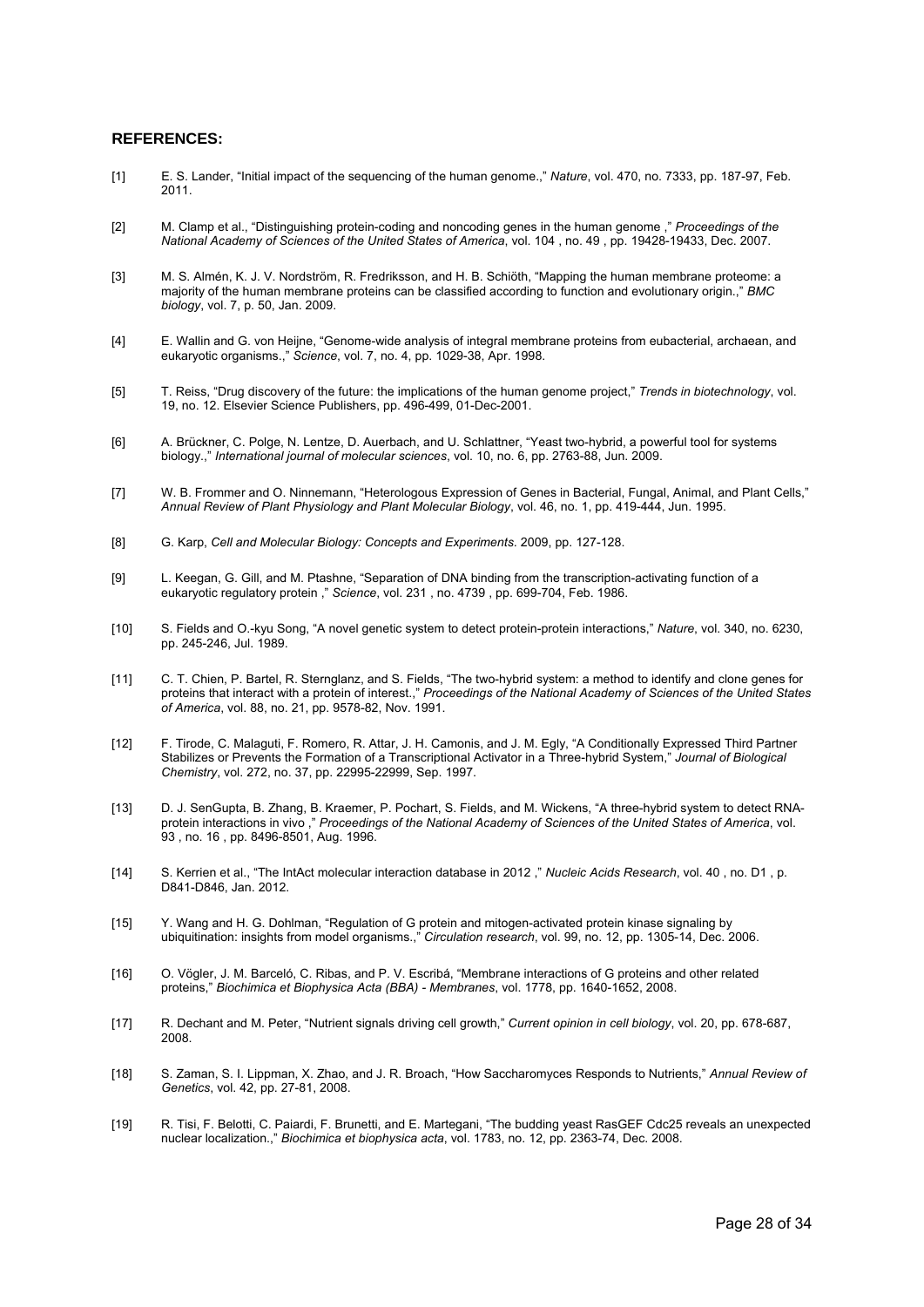#### **REFERENCES:**

- [1] E. S. Lander, "Initial impact of the sequencing of the human genome.," *Nature*, vol. 470, no. 7333, pp. 187-97, Feb. 2011.
- [2] M. Clamp et al., "Distinguishing protein-coding and noncoding genes in the human genome ," *Proceedings of the National Academy of Sciences of the United States of America*, vol. 104 , no. 49 , pp. 19428-19433, Dec. 2007.
- [3] M. S. Almén, K. J. V. Nordström, R. Fredriksson, and H. B. Schiöth, "Mapping the human membrane proteome: a majority of the human membrane proteins can be classified according to function and evolutionary origin.," *BMC biology*, vol. 7, p. 50, Jan. 2009.
- [4] E. Wallin and G. von Heijne, "Genome-wide analysis of integral membrane proteins from eubacterial, archaean, and eukaryotic organisms.," *Science*, vol. 7, no. 4, pp. 1029-38, Apr. 1998.
- [5] T. Reiss, "Drug discovery of the future: the implications of the human genome project," *Trends in biotechnology*, vol. 19, no. 12. Elsevier Science Publishers, pp. 496-499, 01-Dec-2001.
- [6] A. Brückner, C. Polge, N. Lentze, D. Auerbach, and U. Schlattner, "Yeast two-hybrid, a powerful tool for systems biology.," *International journal of molecular sciences*, vol. 10, no. 6, pp. 2763-88, Jun. 2009.
- [7] W. B. Frommer and O. Ninnemann, "Heterologous Expression of Genes in Bacterial, Fungal, Animal, and Plant Cells," *Annual Review of Plant Physiology and Plant Molecular Biology*, vol. 46, no. 1, pp. 419-444, Jun. 1995.
- [8] G. Karp, *Cell and Molecular Biology: Concepts and Experiments*. 2009, pp. 127-128.
- [9] L. Keegan, G. Gill, and M. Ptashne, "Separation of DNA binding from the transcription-activating function of a eukaryotic regulatory protein ," *Science*, vol. 231 , no. 4739 , pp. 699-704, Feb. 1986.
- [10] S. Fields and O.-kyu Song, "A novel genetic system to detect protein-protein interactions," *Nature*, vol. 340, no. 6230, pp. 245-246, Jul. 1989.
- [11] C. T. Chien, P. Bartel, R. Sternglanz, and S. Fields, "The two-hybrid system: a method to identify and clone genes for proteins that interact with a protein of interest.," *Proceedings of the National Academy of Sciences of the United States of America*, vol. 88, no. 21, pp. 9578-82, Nov. 1991.
- [12] F. Tirode, C. Malaguti, F. Romero, R. Attar, J. H. Camonis, and J. M. Egly, "A Conditionally Expressed Third Partner Stabilizes or Prevents the Formation of a Transcriptional Activator in a Three-hybrid System," *Journal of Biological Chemistry*, vol. 272, no. 37, pp. 22995-22999, Sep. 1997.
- [13] D. J. SenGupta, B. Zhang, B. Kraemer, P. Pochart, S. Fields, and M. Wickens, "A three-hybrid system to detect RNAprotein interactions in vivo ," *Proceedings of the National Academy of Sciences of the United States of America*, vol. 93 , no. 16 , pp. 8496-8501, Aug. 1996.
- [14] S. Kerrien et al., "The IntAct molecular interaction database in 2012 ," *Nucleic Acids Research*, vol. 40 , no. D1 , p. D841-D846, Jan. 2012.
- [15] Y. Wang and H. G. Dohlman, "Regulation of G protein and mitogen-activated protein kinase signaling by ubiquitination: insights from model organisms.," *Circulation research*, vol. 99, no. 12, pp. 1305-14, Dec. 2006.
- [16] O. Vögler, J. M. Barceló, C. Ribas, and P. V. Escribá, "Membrane interactions of G proteins and other related proteins," *Biochimica et Biophysica Acta (BBA) - Membranes*, vol. 1778, pp. 1640-1652, 2008.
- [17] R. Dechant and M. Peter, "Nutrient signals driving cell growth," *Current opinion in cell biology*, vol. 20, pp. 678-687, 2008.
- [18] S. Zaman, S. I. Lippman, X. Zhao, and J. R. Broach, "How Saccharomyces Responds to Nutrients," *Annual Review of Genetics*, vol. 42, pp. 27-81, 2008.
- [19] R. Tisi, F. Belotti, C. Paiardi, F. Brunetti, and E. Martegani, "The budding yeast RasGEF Cdc25 reveals an unexpected nuclear localization.," *Biochimica et biophysica acta*, vol. 1783, no. 12, pp. 2363-74, Dec. 2008.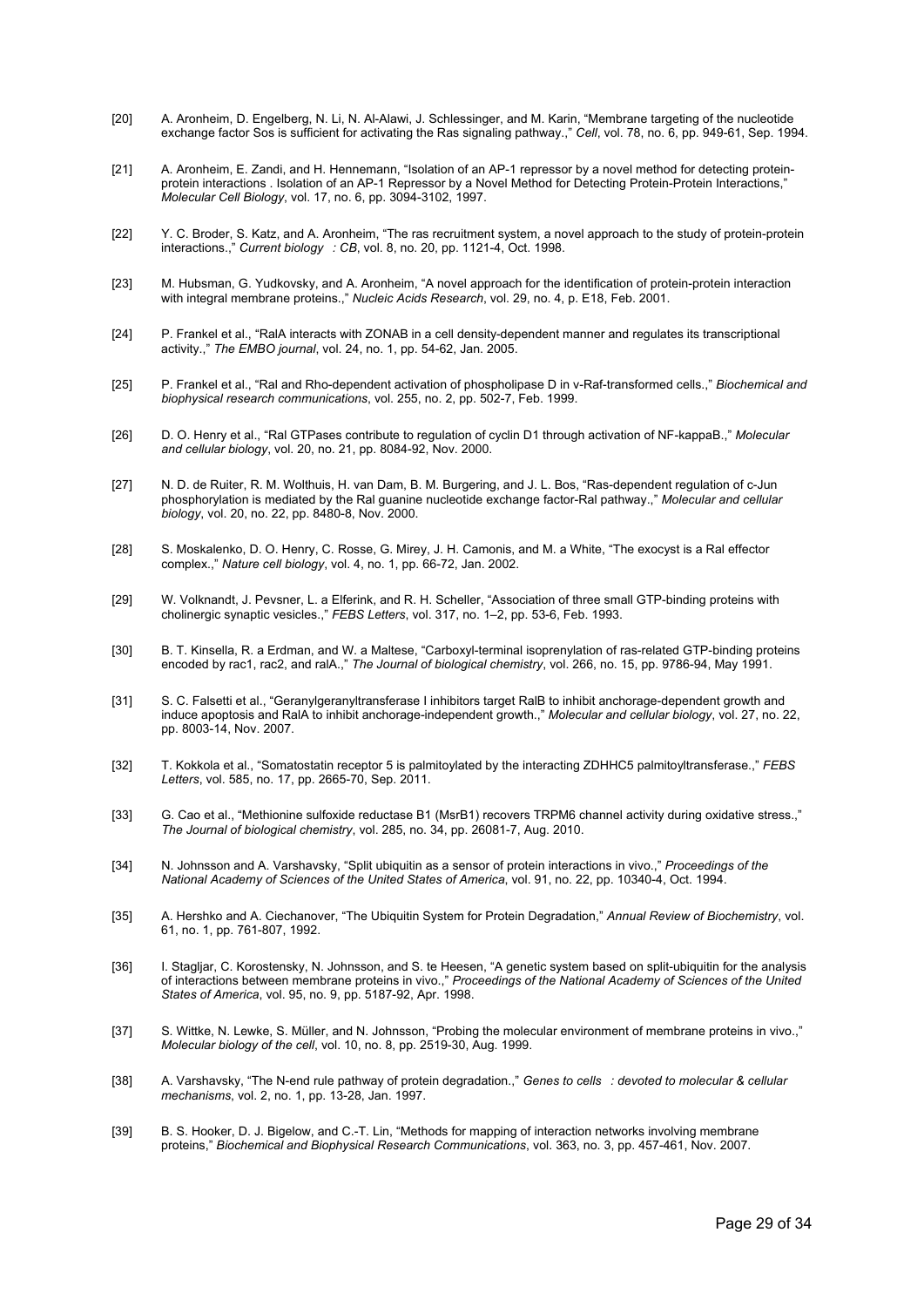- [20] A. Aronheim, D. Engelberg, N. Li, N. Al-Alawi, J. Schlessinger, and M. Karin, "Membrane targeting of the nucleotide exchange factor Sos is sufficient for activating the Ras signaling pathway.," *Cell*, vol. 78, no. 6, pp. 949-61, Sep. 1994.
- [21] A. Aronheim, E. Zandi, and H. Hennemann, "Isolation of an AP-1 repressor by a novel method for detecting proteinprotein interactions . Isolation of an AP-1 Repressor by a Novel Method for Detecting Protein-Protein Interactions," *Molecular Cell Biology*, vol. 17, no. 6, pp. 3094-3102, 1997.
- [22] Y. C. Broder, S. Katz, and A. Aronheim, "The ras recruitment system, a novel approach to the study of protein-protein interactions.," *Current biology: CB*, vol. 8, no. 20, pp. 1121-4, Oct. 1998.
- [23] M. Hubsman, G. Yudkovsky, and A. Aronheim, "A novel approach for the identification of protein-protein interaction with integral membrane proteins.," *Nucleic Acids Research*, vol. 29, no. 4, p. E18, Feb. 2001.
- [24] P. Frankel et al., "RalA interacts with ZONAB in a cell density-dependent manner and regulates its transcriptional activity.," *The EMBO journal*, vol. 24, no. 1, pp. 54-62, Jan. 2005.
- [25] P. Frankel et al., "Ral and Rho-dependent activation of phospholipase D in v-Raf-transformed cells.," *Biochemical and biophysical research communications*, vol. 255, no. 2, pp. 502-7, Feb. 1999.
- [26] D. O. Henry et al., "Ral GTPases contribute to regulation of cyclin D1 through activation of NF-kappaB.," *Molecular and cellular biology*, vol. 20, no. 21, pp. 8084-92, Nov. 2000.
- [27] N. D. de Ruiter, R. M. Wolthuis, H. van Dam, B. M. Burgering, and J. L. Bos, "Ras-dependent regulation of c-Jun phosphorylation is mediated by the Ral guanine nucleotide exchange factor-Ral pathway.," *Molecular and cellular biology*, vol. 20, no. 22, pp. 8480-8, Nov. 2000.
- [28] S. Moskalenko, D. O. Henry, C. Rosse, G. Mirey, J. H. Camonis, and M. a White, "The exocyst is a Ral effector complex.," *Nature cell biology*, vol. 4, no. 1, pp. 66-72, Jan. 2002.
- [29] W. Volknandt, J. Pevsner, L. a Elferink, and R. H. Scheller, "Association of three small GTP-binding proteins with cholinergic synaptic vesicles.," *FEBS Letters*, vol. 317, no. 1–2, pp. 53-6, Feb. 1993.
- [30] B. T. Kinsella, R. a Erdman, and W. a Maltese, "Carboxyl-terminal isoprenylation of ras-related GTP-binding proteins encoded by rac1, rac2, and ralA.," *The Journal of biological chemistry*, vol. 266, no. 15, pp. 9786-94, May 1991.
- [31] S. C. Falsetti et al., "Geranylgeranyltransferase I inhibitors target RalB to inhibit anchorage-dependent growth and induce apoptosis and RalA to inhibit anchorage-independent growth.," *Molecular and cellular biology*, vol. 27, no. 22, pp. 8003-14, Nov. 2007.
- [32] T. Kokkola et al., "Somatostatin receptor 5 is palmitoylated by the interacting ZDHHC5 palmitoyltransferase.," *FEBS Letters*, vol. 585, no. 17, pp. 2665-70, Sep. 2011.
- [33] G. Cao et al., "Methionine sulfoxide reductase B1 (MsrB1) recovers TRPM6 channel activity during oxidative stress.," *The Journal of biological chemistry*, vol. 285, no. 34, pp. 26081-7, Aug. 2010.
- [34] N. Johnsson and A. Varshavsky, "Split ubiquitin as a sensor of protein interactions in vivo.," *Proceedings of the National Academy of Sciences of the United States of America*, vol. 91, no. 22, pp. 10340-4, Oct. 1994.
- [35] A. Hershko and A. Ciechanover, "The Ubiquitin System for Protein Degradation," *Annual Review of Biochemistry*, vol. 61, no. 1, pp. 761-807, 1992.
- [36] I. Stagljar, C. Korostensky, N. Johnsson, and S. te Heesen, "A genetic system based on split-ubiquitin for the analysis of interactions between membrane proteins in vivo.," *Proceedings of the National Academy of Sciences of the United States of America*, vol. 95, no. 9, pp. 5187-92, Apr. 1998.
- [37] S. Wittke, N. Lewke, S. Müller, and N. Johnsson, "Probing the molecular environment of membrane proteins in vivo.," *Molecular biology of the cell*, vol. 10, no. 8, pp. 2519-30, Aug. 1999.
- [38] A. Varshavsky, "The N-end rule pathway of protein degradation.," *Genes to cells: devoted to molecular & cellular mechanisms*, vol. 2, no. 1, pp. 13-28, Jan. 1997.
- [39] B. S. Hooker, D. J. Bigelow, and C.-T. Lin, "Methods for mapping of interaction networks involving membrane proteins," *Biochemical and Biophysical Research Communications*, vol. 363, no. 3, pp. 457-461, Nov. 2007.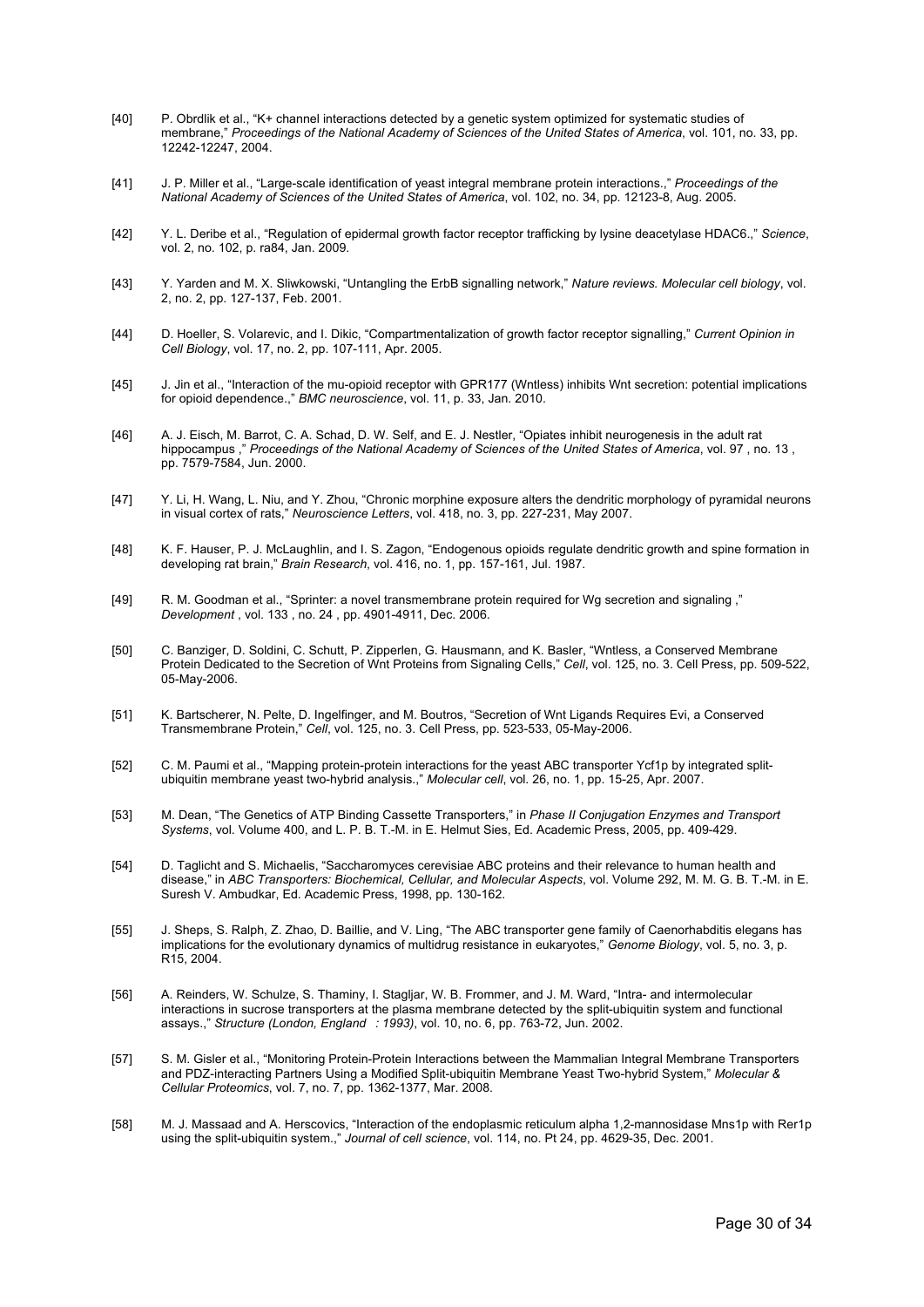- [40] P. Obrdlik et al., "K+ channel interactions detected by a genetic system optimized for systematic studies of membrane," *Proceedings of the National Academy of Sciences of the United States of America*, vol. 101, no. 33, pp. 12242-12247, 2004.
- [41] J. P. Miller et al., "Large-scale identification of yeast integral membrane protein interactions.," *Proceedings of the National Academy of Sciences of the United States of America*, vol. 102, no. 34, pp. 12123-8, Aug. 2005.
- [42] Y. L. Deribe et al., "Regulation of epidermal growth factor receptor trafficking by lysine deacetylase HDAC6.," *Science*, vol. 2, no. 102, p. ra84, Jan. 2009.
- [43] Y. Yarden and M. X. Sliwkowski, "Untangling the ErbB signalling network," *Nature reviews. Molecular cell biology*, vol. 2, no. 2, pp. 127-137, Feb. 2001.
- [44] D. Hoeller, S. Volarevic, and I. Dikic, "Compartmentalization of growth factor receptor signalling," *Current Opinion in Cell Biology*, vol. 17, no. 2, pp. 107-111, Apr. 2005.
- [45] J. Jin et al., "Interaction of the mu-opioid receptor with GPR177 (Wntless) inhibits Wnt secretion: potential implications for opioid dependence.," *BMC neuroscience*, vol. 11, p. 33, Jan. 2010.
- [46] A. J. Eisch, M. Barrot, C. A. Schad, D. W. Self, and E. J. Nestler, "Opiates inhibit neurogenesis in the adult rat hippocampus ," *Proceedings of the National Academy of Sciences of the United States of America*, vol. 97 , no. 13 , pp. 7579-7584, Jun. 2000.
- [47] Y. Li, H. Wang, L. Niu, and Y. Zhou, "Chronic morphine exposure alters the dendritic morphology of pyramidal neurons in visual cortex of rats," *Neuroscience Letters*, vol. 418, no. 3, pp. 227-231, May 2007.
- [48] K. F. Hauser, P. J. McLaughlin, and I. S. Zagon, "Endogenous opioids regulate dendritic growth and spine formation in developing rat brain," *Brain Research*, vol. 416, no. 1, pp. 157-161, Jul. 1987.
- [49] R. M. Goodman et al., "Sprinter: a novel transmembrane protein required for Wg secretion and signaling ," *Development* , vol. 133 , no. 24 , pp. 4901-4911, Dec. 2006.
- [50] C. Banziger, D. Soldini, C. Schutt, P. Zipperlen, G. Hausmann, and K. Basler, "Wntless, a Conserved Membrane Protein Dedicated to the Secretion of Wnt Proteins from Signaling Cells," *Cell*, vol. 125, no. 3. Cell Press, pp. 509-522, 05-May-2006.
- [51] K. Bartscherer, N. Pelte, D. Ingelfinger, and M. Boutros, "Secretion of Wnt Ligands Requires Evi, a Conserved Transmembrane Protein," *Cell*, vol. 125, no. 3. Cell Press, pp. 523-533, 05-May-2006.
- [52] C. M. Paumi et al., "Mapping protein-protein interactions for the yeast ABC transporter Ycf1p by integrated splitubiquitin membrane yeast two-hybrid analysis.," *Molecular cell*, vol. 26, no. 1, pp. 15-25, Apr. 2007.
- [53] M. Dean, "The Genetics of ATP Binding Cassette Transporters," in *Phase II Conjugation Enzymes and Transport Systems*, vol. Volume 400, and L. P. B. T.-M. in E. Helmut Sies, Ed. Academic Press, 2005, pp. 409-429.
- [54] D. Taglicht and S. Michaelis, "Saccharomyces cerevisiae ABC proteins and their relevance to human health and disease," in *ABC Transporters: Biochemical, Cellular, and Molecular Aspects*, vol. Volume 292, M. M. G. B. T.-M. in E. Suresh V. Ambudkar, Ed. Academic Press, 1998, pp. 130-162.
- [55] J. Sheps, S. Ralph, Z. Zhao, D. Baillie, and V. Ling, "The ABC transporter gene family of Caenorhabditis elegans has implications for the evolutionary dynamics of multidrug resistance in eukaryotes," *Genome Biology*, vol. 5, no. 3, p. R15, 2004.
- [56] A. Reinders, W. Schulze, S. Thaminy, I. Stagljar, W. B. Frommer, and J. M. Ward, "Intra- and intermolecular interactions in sucrose transporters at the plasma membrane detected by the split-ubiquitin system and functional assays.," *Structure (London, England: 1993)*, vol. 10, no. 6, pp. 763-72, Jun. 2002.
- [57] S. M. Gisler et al., "Monitoring Protein-Protein Interactions between the Mammalian Integral Membrane Transporters and PDZ-interacting Partners Using a Modified Split-ubiquitin Membrane Yeast Two-hybrid System," *Molecular & Cellular Proteomics*, vol. 7, no. 7, pp. 1362-1377, Mar. 2008.
- [58] M. J. Massaad and A. Herscovics, "Interaction of the endoplasmic reticulum alpha 1,2-mannosidase Mns1p with Rer1p using the split-ubiquitin system.," *Journal of cell science*, vol. 114, no. Pt 24, pp. 4629-35, Dec. 2001.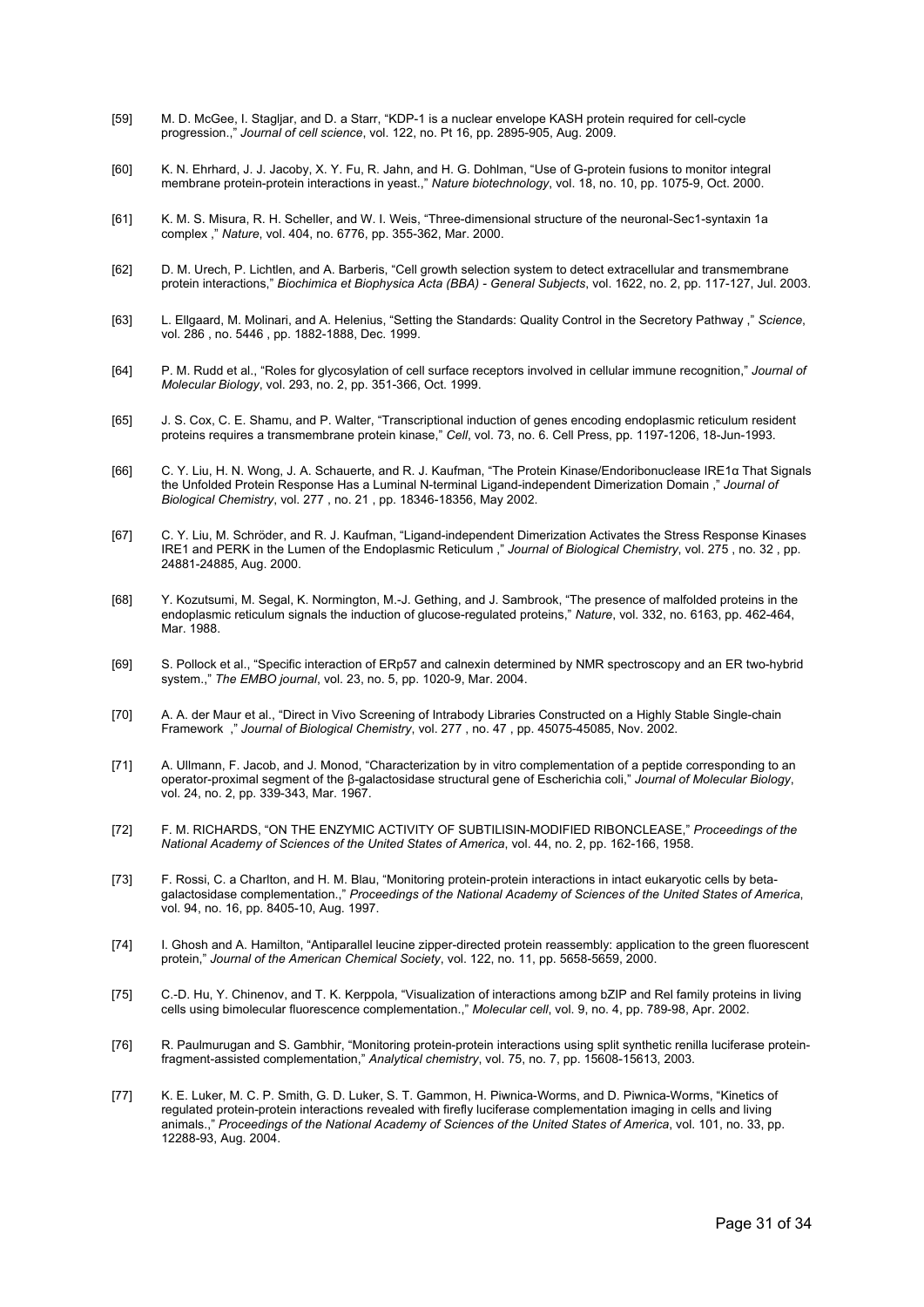- [59] M. D. McGee, I. Stagljar, and D. a Starr, "KDP-1 is a nuclear envelope KASH protein required for cell-cycle progression.," *Journal of cell science*, vol. 122, no. Pt 16, pp. 2895-905, Aug. 2009.
- [60] K. N. Ehrhard, J. J. Jacoby, X. Y. Fu, R. Jahn, and H. G. Dohlman, "Use of G-protein fusions to monitor integral membrane protein-protein interactions in yeast.," *Nature biotechnology*, vol. 18, no. 10, pp. 1075-9, Oct. 2000.
- [61] K. M. S. Misura, R. H. Scheller, and W. I. Weis, "Three-dimensional structure of the neuronal-Sec1-syntaxin 1a complex ," *Nature*, vol. 404, no. 6776, pp. 355-362, Mar. 2000.
- [62] D. M. Urech, P. Lichtlen, and A. Barberis, "Cell growth selection system to detect extracellular and transmembrane protein interactions," *Biochimica et Biophysica Acta (BBA) - General Subjects*, vol. 1622, no. 2, pp. 117-127, Jul. 2003.
- [63] L. Ellgaard, M. Molinari, and A. Helenius, "Setting the Standards: Quality Control in the Secretory Pathway ," *Science*, vol. 286 , no. 5446 , pp. 1882-1888, Dec. 1999.
- [64] P. M. Rudd et al., "Roles for glycosylation of cell surface receptors involved in cellular immune recognition," *Journal of Molecular Biology*, vol. 293, no. 2, pp. 351-366, Oct. 1999.
- [65] J. S. Cox, C. E. Shamu, and P. Walter, "Transcriptional induction of genes encoding endoplasmic reticulum resident proteins requires a transmembrane protein kinase," *Cell*, vol. 73, no. 6. Cell Press, pp. 1197-1206, 18-Jun-1993.
- [66] C. Y. Liu, H. N. Wong, J. A. Schauerte, and R. J. Kaufman, "The Protein Kinase/Endoribonuclease IRE1α That Signals the Unfolded Protein Response Has a Luminal N-terminal Ligand-independent Dimerization Domain ," *Journal of Biological Chemistry*, vol. 277 , no. 21 , pp. 18346-18356, May 2002.
- [67] C. Y. Liu, M. Schröder, and R. J. Kaufman, "Ligand-independent Dimerization Activates the Stress Response Kinases IRE1 and PERK in the Lumen of the Endoplasmic Reticulum ," *Journal of Biological Chemistry*, vol. 275 , no. 32 , pp. 24881-24885, Aug. 2000.
- [68] Y. Kozutsumi, M. Segal, K. Normington, M.-J. Gething, and J. Sambrook, "The presence of malfolded proteins in the endoplasmic reticulum signals the induction of glucose-regulated proteins," *Nature*, vol. 332, no. 6163, pp. 462-464, Mar. 1988.
- [69] S. Pollock et al., "Specific interaction of ERp57 and calnexin determined by NMR spectroscopy and an ER two-hybrid system.," *The EMBO journal*, vol. 23, no. 5, pp. 1020-9, Mar. 2004.
- [70] A. A. der Maur et al., "Direct in Vivo Screening of Intrabody Libraries Constructed on a Highly Stable Single-chain Framework ," *Journal of Biological Chemistry*, vol. 277 , no. 47 , pp. 45075-45085, Nov. 2002.
- [71] A. Ullmann, F. Jacob, and J. Monod, "Characterization by in vitro complementation of a peptide corresponding to an operator-proximal segment of the β-galactosidase structural gene of Escherichia coli," *Journal of Molecular Biology*, vol. 24, no. 2, pp. 339-343, Mar. 1967.
- [72] F. M. RICHARDS, "ON THE ENZYMIC ACTIVITY OF SUBTILISIN-MODIFIED RIBONCLEASE," *Proceedings of the National Academy of Sciences of the United States of America*, vol. 44, no. 2, pp. 162-166, 1958.
- [73] F. Rossi, C. a Charlton, and H. M. Blau, "Monitoring protein-protein interactions in intact eukaryotic cells by betagalactosidase complementation.," *Proceedings of the National Academy of Sciences of the United States of America*, vol. 94, no. 16, pp. 8405-10, Aug. 1997.
- [74] I. Ghosh and A. Hamilton, "Antiparallel leucine zipper-directed protein reassembly: application to the green fluorescent protein," *Journal of the American Chemical Society*, vol. 122, no. 11, pp. 5658-5659, 2000.
- [75] C.-D. Hu, Y. Chinenov, and T. K. Kerppola, "Visualization of interactions among bZIP and Rel family proteins in living cells using bimolecular fluorescence complementation.," *Molecular cell*, vol. 9, no. 4, pp. 789-98, Apr. 2002.
- [76] R. Paulmurugan and S. Gambhir, "Monitoring protein-protein interactions using split synthetic renilla luciferase proteinfragment-assisted complementation," *Analytical chemistry*, vol. 75, no. 7, pp. 15608-15613, 2003.
- [77] K. E. Luker, M. C. P. Smith, G. D. Luker, S. T. Gammon, H. Piwnica-Worms, and D. Piwnica-Worms, "Kinetics of regulated protein-protein interactions revealed with firefly luciferase complementation imaging in cells and living animals.," *Proceedings of the National Academy of Sciences of the United States of America*, vol. 101, no. 33, pp. 12288-93, Aug. 2004.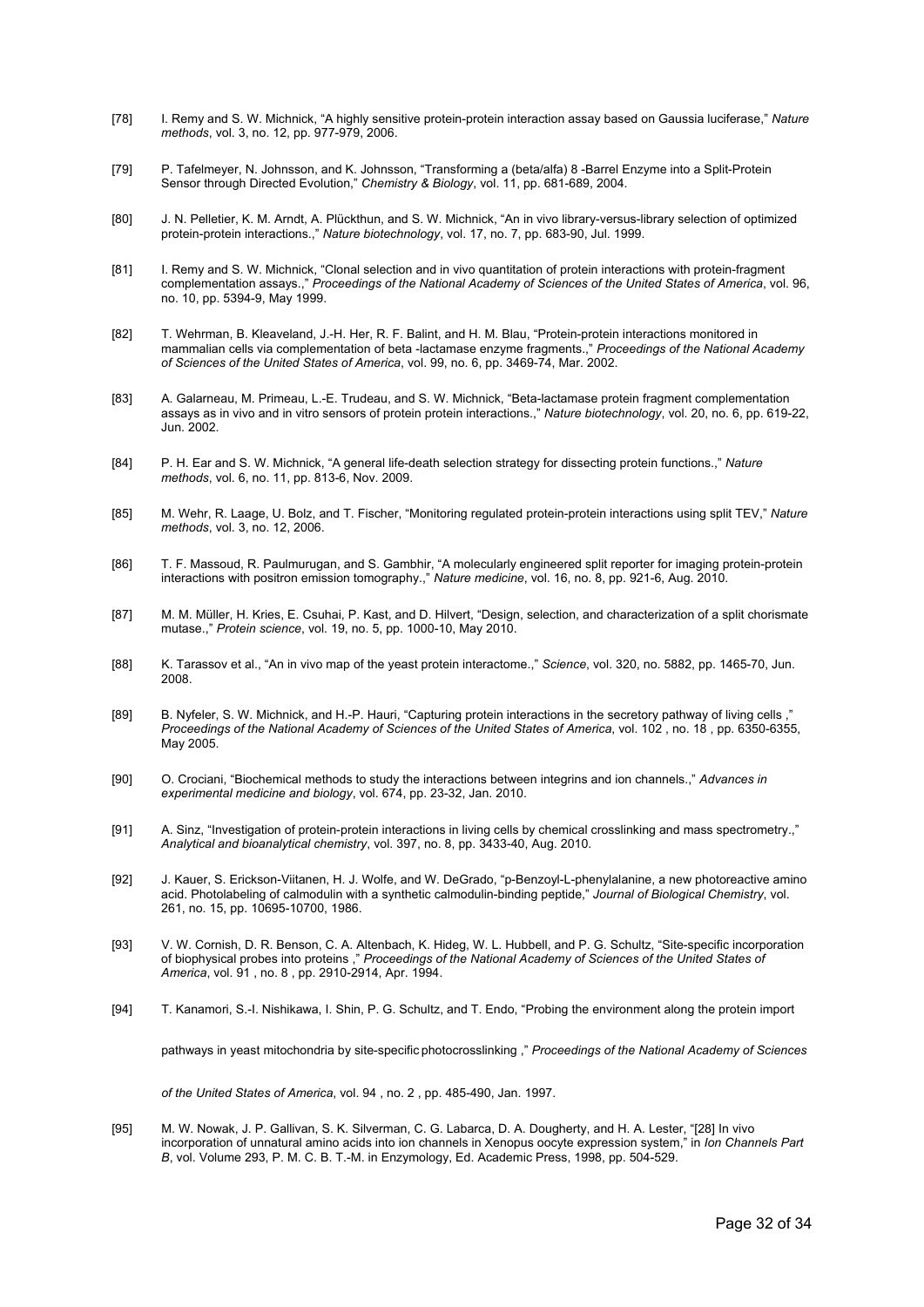- [78] I. Remy and S. W. Michnick, "A highly sensitive protein-protein interaction assay based on Gaussia luciferase," *Nature methods*, vol. 3, no. 12, pp. 977-979, 2006.
- [79] P. Tafelmeyer, N. Johnsson, and K. Johnsson, "Transforming a (beta/alfa) 8 -Barrel Enzyme into a Split-Protein Sensor through Directed Evolution," *Chemistry & Biology*, vol. 11, pp. 681-689, 2004.
- [80] J. N. Pelletier, K. M. Arndt, A. Plückthun, and S. W. Michnick, "An in vivo library-versus-library selection of optimized protein-protein interactions.," *Nature biotechnology*, vol. 17, no. 7, pp. 683-90, Jul. 1999.
- [81] I. Remy and S. W. Michnick, "Clonal selection and in vivo quantitation of protein interactions with protein-fragment complementation assays.," *Proceedings of the National Academy of Sciences of the United States of America*, vol. 96, no. 10, pp. 5394-9, May 1999.
- [82] T. Wehrman, B. Kleaveland, J.-H. Her, R. F. Balint, and H. M. Blau, "Protein-protein interactions monitored in mammalian cells via complementation of beta -lactamase enzyme fragments.," *Proceedings of the National Academy of Sciences of the United States of America*, vol. 99, no. 6, pp. 3469-74, Mar. 2002.
- [83] A. Galarneau, M. Primeau, L.-E. Trudeau, and S. W. Michnick, "Beta-lactamase protein fragment complementation assays as in vivo and in vitro sensors of protein protein interactions.," *Nature biotechnology*, vol. 20, no. 6, pp. 619-22, Jun. 2002.
- [84] P. H. Ear and S. W. Michnick, "A general life-death selection strategy for dissecting protein functions.," *Nature methods*, vol. 6, no. 11, pp. 813-6, Nov. 2009.
- [85] M. Wehr, R. Laage, U. Bolz, and T. Fischer, "Monitoring regulated protein-protein interactions using split TEV," *Nature methods*, vol. 3, no. 12, 2006.
- [86] T. F. Massoud, R. Paulmurugan, and S. Gambhir, "A molecularly engineered split reporter for imaging protein-protein interactions with positron emission tomography.," *Nature medicine*, vol. 16, no. 8, pp. 921-6, Aug. 2010.
- [87] M. M. Müller, H. Kries, E. Csuhai, P. Kast, and D. Hilvert, "Design, selection, and characterization of a split chorismate mutase.," *Protein science*, vol. 19, no. 5, pp. 1000-10, May 2010.
- [88] K. Tarassov et al., "An in vivo map of the yeast protein interactome.," *Science*, vol. 320, no. 5882, pp. 1465-70, Jun. 2008.
- [89] B. Nyfeler, S. W. Michnick, and H.-P. Hauri, "Capturing protein interactions in the secretory pathway of living cells *Proceedings of the National Academy of Sciences of the United States of America*, vol. 102 , no. 18 , pp. 6350-6355, May 2005.
- [90] O. Crociani, "Biochemical methods to study the interactions between integrins and ion channels.," *Advances in experimental medicine and biology*, vol. 674, pp. 23-32, Jan. 2010.
- [91] A. Sinz, "Investigation of protein-protein interactions in living cells by chemical crosslinking and mass spectrometry.," *Analytical and bioanalytical chemistry*, vol. 397, no. 8, pp. 3433-40, Aug. 2010.
- [92] J. Kauer, S. Erickson-Viitanen, H. J. Wolfe, and W. DeGrado, "p-Benzoyl-L-phenylalanine, a new photoreactive amino acid. Photolabeling of calmodulin with a synthetic calmodulin-binding peptide," *Journal of Biological Chemistry*, vol. 261, no. 15, pp. 10695-10700, 1986.
- [93] V. W. Cornish, D. R. Benson, C. A. Altenbach, K. Hideg, W. L. Hubbell, and P. G. Schultz, "Site-specific incorporation of biophysical probes into proteins ," *Proceedings of the National Academy of Sciences of the United States of America*, vol. 91 , no. 8 , pp. 2910-2914, Apr. 1994.
- [94] T. Kanamori, S.-I. Nishikawa, I. Shin, P. G. Schultz, and T. Endo, "Probing the environment along the protein import

pathways in yeast mitochondria by site-specific photocrosslinking ," *Proceedings of the National Academy of Sciences* 

*of the United States of America*, vol. 94 , no. 2 , pp. 485-490, Jan. 1997.

[95] M. W. Nowak, J. P. Gallivan, S. K. Silverman, C. G. Labarca, D. A. Dougherty, and H. A. Lester, "[28] In vivo incorporation of unnatural amino acids into ion channels in Xenopus oocyte expression system," in *Ion Channels Part B*, vol. Volume 293, P. M. C. B. T.-M. in Enzymology, Ed. Academic Press, 1998, pp. 504-529.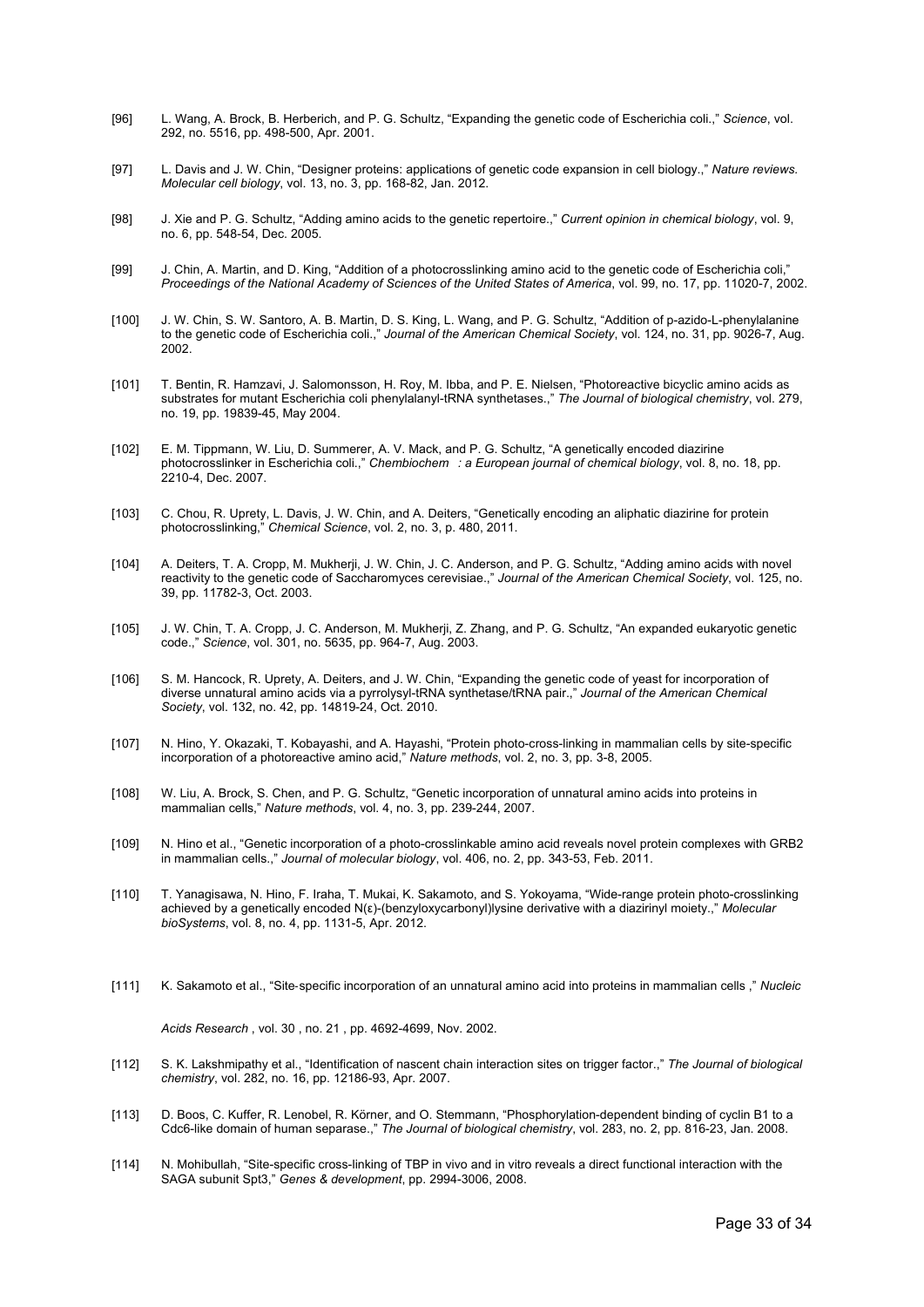- [96] L. Wang, A. Brock, B. Herberich, and P. G. Schultz, "Expanding the genetic code of Escherichia coli.," *Science*, vol. 292, no. 5516, pp. 498-500, Apr. 2001.
- [97] L. Davis and J. W. Chin, "Designer proteins: applications of genetic code expansion in cell biology.," *Nature reviews. Molecular cell biology*, vol. 13, no. 3, pp. 168-82, Jan. 2012.
- [98] J. Xie and P. G. Schultz, "Adding amino acids to the genetic repertoire.," *Current opinion in chemical biology*, vol. 9, no. 6, pp. 548-54, Dec. 2005.
- [99] J. Chin, A. Martin, and D. King, "Addition of a photocrosslinking amino acid to the genetic code of Escherichia coli," *Proceedings of the National Academy of Sciences of the United States of America*, vol. 99, no. 17, pp. 11020-7, 2002.
- [100] J. W. Chin, S. W. Santoro, A. B. Martin, D. S. King, L. Wang, and P. G. Schultz, "Addition of p-azido-L-phenylalanine to the genetic code of Escherichia coli.," *Journal of the American Chemical Society*, vol. 124, no. 31, pp. 9026-7, Aug. 2002.
- [101] T. Bentin, R. Hamzavi, J. Salomonsson, H. Roy, M. Ibba, and P. E. Nielsen, "Photoreactive bicyclic amino acids as substrates for mutant Escherichia coli phenylalanyl-tRNA synthetases.," *The Journal of biological chemistry*, vol. 279, no. 19, pp. 19839-45, May 2004.
- [102] E. M. Tippmann, W. Liu, D. Summerer, A. V. Mack, and P. G. Schultz, "A genetically encoded diazirine photocrosslinker in Escherichia coli.," *Chembiochem: a European journal of chemical biology*, vol. 8, no. 18, pp. 2210-4, Dec. 2007.
- [103] C. Chou, R. Uprety, L. Davis, J. W. Chin, and A. Deiters, "Genetically encoding an aliphatic diazirine for protein photocrosslinking," *Chemical Science*, vol. 2, no. 3, p. 480, 2011.
- [104] A. Deiters, T. A. Cropp, M. Mukherji, J. W. Chin, J. C. Anderson, and P. G. Schultz, "Adding amino acids with novel reactivity to the genetic code of Saccharomyces cerevisiae.," *Journal of the American Chemical Society*, vol. 125, no. 39, pp. 11782-3, Oct. 2003.
- [105] J. W. Chin, T. A. Cropp, J. C. Anderson, M. Mukherji, Z. Zhang, and P. G. Schultz, "An expanded eukaryotic genetic code.," *Science*, vol. 301, no. 5635, pp. 964-7, Aug. 2003.
- [106] S. M. Hancock, R. Uprety, A. Deiters, and J. W. Chin, "Expanding the genetic code of yeast for incorporation of diverse unnatural amino acids via a pyrrolysyl-tRNA synthetase/tRNA pair.," *Journal of the American Chemical Society*, vol. 132, no. 42, pp. 14819-24, Oct. 2010.
- [107] N. Hino, Y. Okazaki, T. Kobayashi, and A. Hayashi, "Protein photo-cross-linking in mammalian cells by site-specific incorporation of a photoreactive amino acid," *Nature methods*, vol. 2, no. 3, pp. 3-8, 2005.
- [108] W. Liu, A. Brock, S. Chen, and P. G. Schultz, "Genetic incorporation of unnatural amino acids into proteins in mammalian cells," *Nature methods*, vol. 4, no. 3, pp. 239-244, 2007.
- [109] N. Hino et al., "Genetic incorporation of a photo-crosslinkable amino acid reveals novel protein complexes with GRB2 in mammalian cells.," *Journal of molecular biology*, vol. 406, no. 2, pp. 343-53, Feb. 2011.
- [110] T. Yanagisawa, N. Hino, F. Iraha, T. Mukai, K. Sakamoto, and S. Yokoyama, "Wide-range protein photo-crosslinking achieved by a genetically encoded N(ε)-(benzyloxycarbonyl)lysine derivative with a diazirinyl moiety.," *Molecular bioSystems*, vol. 8, no. 4, pp. 1131-5, Apr. 2012.
- [111] K. Sakamoto et al., "Site‐specific incorporation of an unnatural amino acid into proteins in mammalian cells ," *Nucleic Acids Research* , vol. 30 , no. 21 , pp. 4692-4699, Nov. 2002.
- [112] S. K. Lakshmipathy et al., "Identification of nascent chain interaction sites on trigger factor.," *The Journal of biological chemistry*, vol. 282, no. 16, pp. 12186-93, Apr. 2007.
- [113] D. Boos, C. Kuffer, R. Lenobel, R. Körner, and O. Stemmann, "Phosphorylation-dependent binding of cyclin B1 to a Cdc6-like domain of human separase.," *The Journal of biological chemistry*, vol. 283, no. 2, pp. 816-23, Jan. 2008.
- [114] N. Mohibullah, "Site-specific cross-linking of TBP in vivo and in vitro reveals a direct functional interaction with the SAGA subunit Spt3," *Genes & development*, pp. 2994-3006, 2008.